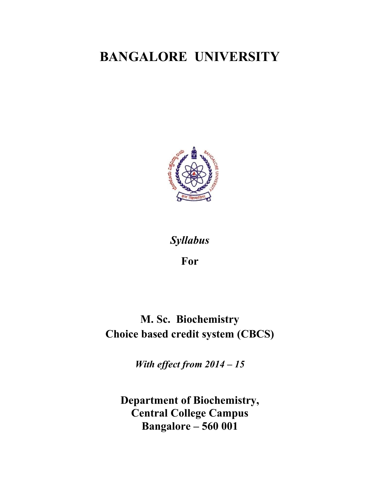# **BANGALORE UNIVERSITY**



# *Syllabus*

**For** 

**M. Sc. Biochemistry Choice based credit system (CBCS)** 

*With effect from 2014 – 15* 

**Department of Biochemistry, Central College Campus Bangalore – 560 001**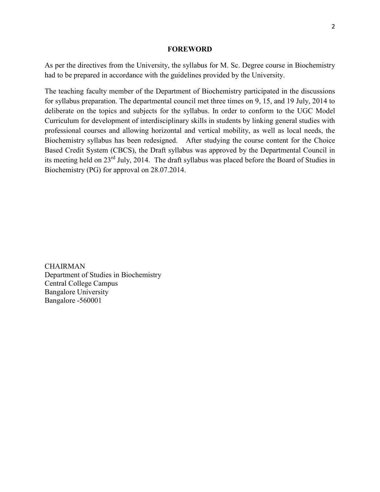#### **FOREWORD**

As per the directives from the University, the syllabus for M. Sc. Degree course in Biochemistry had to be prepared in accordance with the guidelines provided by the University.

The teaching faculty member of the Department of Biochemistry participated in the discussions for syllabus preparation. The departmental council met three times on 9, 15, and 19 July, 2014 to deliberate on the topics and subjects for the syllabus. In order to conform to the UGC Model Curriculum for development of interdisciplinary skills in students by linking general studies with professional courses and allowing horizontal and vertical mobility, as well as local needs, the Biochemistry syllabus has been redesigned. After studying the course content for the Choice Based Credit System (CBCS), the Draft syllabus was approved by the Departmental Council in its meeting held on 23rd July, 2014. The draft syllabus was placed before the Board of Studies in Biochemistry (PG) for approval on 28.07.2014.

**CHAIRMAN** Department of Studies in Biochemistry Central College Campus Bangalore University Bangalore -560001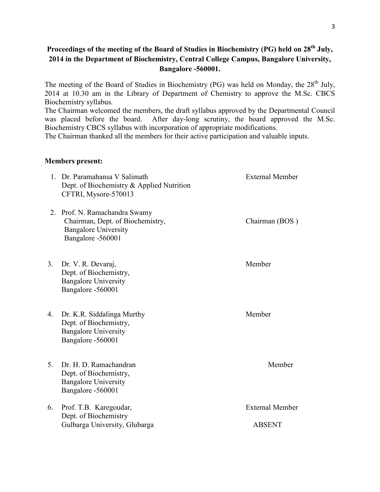## **Proceedings of the meeting of the Board of Studies in Biochemistry (PG) held on 28th July, 2014 in the Department of Biochemistry, Central College Campus, Bangalore University, Bangalore -560001.**

The meeting of the Board of Studies in Biochemistry (PG) was held on Monday, the 28<sup>th</sup> July, 2014 at 10.30 am in the Library of Department of Chemistry to approve the M.Sc. CBCS Biochemistry syllabus.

The Chairman welcomed the members, the draft syllabus approved by the Departmental Council was placed before the board. After day-long scrutiny, the board approved the M.Sc. Biochemistry CBCS syllabus with incorporation of appropriate modifications.

The Chairman thanked all the members for their active participation and valuable inputs.

### **Members present:**

|    | 1. Dr. Paramahansa V Salimath<br>Dept. of Biochemistry & Applied Nutrition<br>CFTRI, Mysore-570013                    | <b>External Member</b>                  |
|----|-----------------------------------------------------------------------------------------------------------------------|-----------------------------------------|
|    | 2. Prof. N. Ramachandra Swamy<br>Chairman, Dept. of Biochemistry,<br><b>Bangalore University</b><br>Bangalore -560001 | Chairman (BOS)                          |
| 3. | Dr. V. R. Devaraj,<br>Dept. of Biochemistry,<br><b>Bangalore University</b><br>Bangalore -560001                      | Member                                  |
| 4. | Dr. K.R. Siddalinga Murthy<br>Dept. of Biochemistry,<br><b>Bangalore University</b><br>Bangalore -560001              | Member                                  |
| 5. | Dr. H. D. Ramachandran<br>Dept. of Biochemistry,<br><b>Bangalore University</b><br>Bangalore -560001                  | Member                                  |
| 6. | Prof. T.B. Karegoudar,<br>Dept. of Biochemistry<br>Gulbarga University, Glubarga                                      | <b>External Member</b><br><b>ABSENT</b> |
|    |                                                                                                                       |                                         |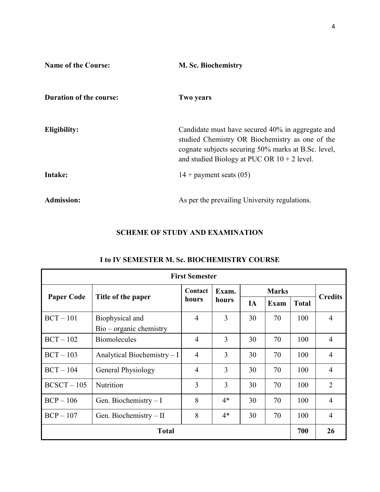| <b>Name of the Course:</b>     | <b>M. Sc. Biochemistry</b>                                                                                                                                                                                  |
|--------------------------------|-------------------------------------------------------------------------------------------------------------------------------------------------------------------------------------------------------------|
| <b>Duration of the course:</b> | <b>Two years</b>                                                                                                                                                                                            |
| Eligibility:                   | Candidate must have secured 40% in aggregate and<br>studied Chemistry OR Biochemistry as one of the<br>cognate subjects securing 50% marks at B.Sc. level,<br>and studied Biology at PUC OR $10 + 2$ level. |
| Intake:                        | $14 +$ payment seats (05)                                                                                                                                                                                   |
| <b>Admission:</b>              | As per the prevailing University regulations.                                                                                                                                                               |

## **SCHEME OF STUDY AND EXAMINATION**

| <b>First Semester</b> |                              |                |                         |              |             |              |                |
|-----------------------|------------------------------|----------------|-------------------------|--------------|-------------|--------------|----------------|
|                       |                              | Contact        | Exam.<br>hours<br>hours | <b>Marks</b> |             |              | <b>Credits</b> |
| <b>Paper Code</b>     | Title of the paper           |                |                         | IA           | <b>Exam</b> | <b>Total</b> |                |
| $BCT - 101$           | Biophysical and              | $\overline{4}$ | 3                       | 30           | 70          | 100          | $\overline{4}$ |
|                       | $Bio-organic chemistry$      |                |                         |              |             |              |                |
| $BCT - 102$           | <b>Biomolecules</b>          | $\overline{4}$ | 3                       | 30           | 70          | 100          | $\overline{4}$ |
| $BCT - 103$           | Analytical Biochemistry $-I$ | $\overline{4}$ | 3                       | 30           | 70          | 100          | $\overline{4}$ |
| $BCT - 104$           | General Physiology           | $\overline{4}$ | 3                       | 30           | 70          | 100          | $\overline{4}$ |
| $BCSCT - 105$         | Nutrition                    | 3              | 3                       | 30           | 70          | 100          | $\overline{2}$ |
| $BCP - 106$           | Gen. Biochemistry $-I$       | 8              | $4*$                    | 30           | 70          | 100          | $\overline{4}$ |
| $BCP - 107$           | Gen. Biochemistry $-II$      | 8              | $4*$                    | 30           | 70          | 100          | $\overline{4}$ |
| <b>Total</b>          |                              |                |                         |              |             | 700          | 26             |

## **I to IV SEMESTER M. Sc. BIOCHEMISTRY COURSE**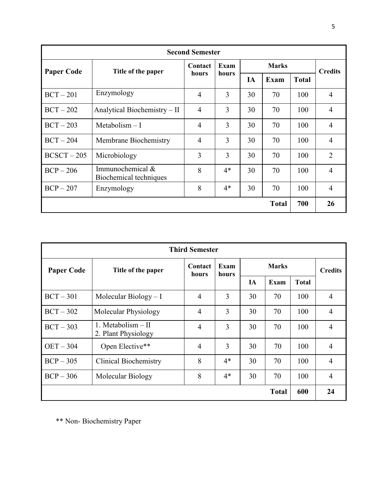| <b>Second Semester</b> |                                              |                  |               |              |              |              |                |
|------------------------|----------------------------------------------|------------------|---------------|--------------|--------------|--------------|----------------|
| <b>Paper Code</b>      | Title of the paper                           | Contact<br>hours | Exam<br>hours | <b>Marks</b> |              |              | <b>Credits</b> |
|                        |                                              |                  |               | IA           | Exam         | <b>Total</b> |                |
| $BCT - 201$            | Enzymology                                   | $\overline{4}$   | 3             | 30           | 70           | 100          | $\overline{4}$ |
| $BCT - 202$            | Analytical Biochemistry – II                 | $\overline{4}$   | 3             | 30           | 70           | 100          | $\overline{4}$ |
| $BCT - 203$            | Metabolism $-I$                              | $\overline{4}$   | 3             | 30           | 70           | 100          | $\overline{4}$ |
| $BCT - 204$            | Membrane Biochemistry                        | $\overline{4}$   | 3             | 30           | 70           | 100          | $\overline{4}$ |
| $BCSCT - 205$          | Microbiology                                 | 3                | 3             | 30           | 70           | 100          | $\overline{2}$ |
| $BCP - 206$            | Immunochemical $&$<br>Biochemical techniques | 8                | $4*$          | 30           | 70           | 100          | $\overline{4}$ |
| $BCP - 207$            | Enzymology                                   | 8                | $4*$          | 30           | 70           | 100          | $\overline{4}$ |
|                        |                                              |                  |               |              | <b>Total</b> | 700          | 26             |

| <b>Third Semester</b> |                                             |                  |               |              |              |              |                |
|-----------------------|---------------------------------------------|------------------|---------------|--------------|--------------|--------------|----------------|
| <b>Paper Code</b>     | Title of the paper                          | Contact<br>hours | Exam<br>hours | <b>Marks</b> |              |              | <b>Credits</b> |
|                       |                                             |                  |               | IA           | Exam         | <b>Total</b> |                |
| $BCT - 301$           | Molecular Biology $- I$                     | $\overline{4}$   | 3             | 30           | 70           | 100          | $\overline{4}$ |
| $BCT - 302$           | Molecular Physiology                        | $\overline{4}$   | 3             | 30           | 70           | 100          | $\overline{4}$ |
| $BCT - 303$           | 1. Metabolism $-$ II<br>2. Plant Physiology | $\overline{4}$   | 3             | 30           | 70           | 100          | $\overline{4}$ |
| $OET - 304$           | Open Elective**                             | $\overline{4}$   | 3             | 30           | 70           | 100          | $\overline{4}$ |
| $BCP - 305$           | <b>Clinical Biochemistry</b>                | 8                | $4*$          | 30           | 70           | 100          | $\overline{4}$ |
| $BCP - 306$           | Molecular Biology                           | 8                | $4*$          | 30           | 70           | 100          | $\overline{4}$ |
|                       |                                             |                  |               |              | <b>Total</b> | 600          | 24             |

\*\* Non- Biochemistry Paper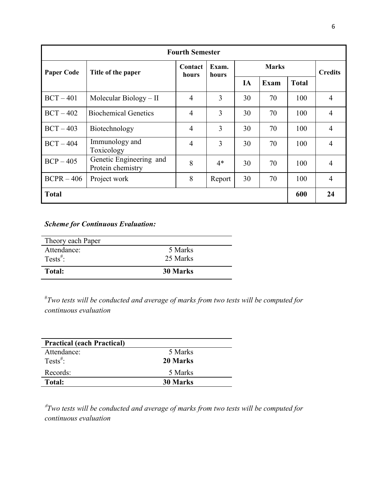| <b>Fourth Semester</b> |                                              |                  |                |              |             |              |                |  |
|------------------------|----------------------------------------------|------------------|----------------|--------------|-------------|--------------|----------------|--|
| <b>Paper Code</b>      | Title of the paper                           | Contact<br>hours | Exam.<br>hours | <b>Marks</b> |             |              | <b>Credits</b> |  |
|                        |                                              |                  |                | IA           | <b>Exam</b> | <b>Total</b> |                |  |
| $BCT - 401$            | Molecular Biology $-$ II                     | $\overline{4}$   | 3              | 30           | 70          | 100          | 4              |  |
| $BCT - 402$            | <b>Biochemical Genetics</b>                  | $\overline{4}$   | 3              | 30           | 70          | 100          | 4              |  |
| $BCT - 403$            | Biotechnology                                | $\overline{4}$   | 3              | 30           | 70          | 100          | 4              |  |
| $BCT - 404$            | Immunology and<br>Toxicology                 | $\overline{4}$   | 3              | 30           | 70          | 100          | 4              |  |
| $BCP - 405$            | Genetic Engineering and<br>Protein chemistry | 8                | $4*$           | 30           | 70          | 100          | 4              |  |
| $BCPR - 406$           | Project work                                 | 8                | Report         | 30           | 70          | 100          | $\overline{4}$ |  |
| <b>Total</b>           |                                              |                  |                |              |             | 600          | 24             |  |

## *Scheme for Continuous Evaluation:*

| Tests <sup>#</sup> :<br><b>Total:</b> | 25 Marks<br><b>30 Marks</b> |  |
|---------------------------------------|-----------------------------|--|
| Attendance:                           | 5 Marks                     |  |

# *Two tests will be conducted and average of marks from two tests will be computed for continuous evaluation*

| <b>Practical (each Practical)</b> |          |
|-----------------------------------|----------|
| Attendance:                       | 5 Marks  |
| Tests <sup>#</sup> :              | 20 Marks |
| Records:                          | 5 Marks  |
| <b>Total:</b>                     | 30 Marks |

# *Two tests will be conducted and average of marks from two tests will be computed for continuous evaluation*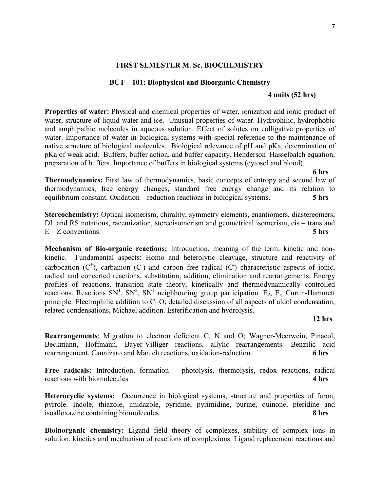## **FIRST SEMESTER M. Sc. BIOCHEMISTRY**

#### **BCT – 101: Biophysical and Bioorganic Chemistry**

#### **4 units (52 hrs)**

**Properties of water:** Physical and chemical properties of water, ionization and ionic product of water, structure of liquid water and ice. Unusual properties of water. Hydrophilic, hydrophobic and amphipathic molecules in aqueous solution. Effect of solutes on colligative properties of water. Importance of water in biological systems with special reference to the maintenance of native structure of biological molecules. Biological relevance of pH and pKa, determination of pKa of weak acid. Buffers, buffer action, and buffer capacity. Henderson–Hasselbalch equation, preparation of buffers. Importance of buffers in biological systems (cytosol and blood).

**6 hrs** 

**Thermodynamics:** First law of thermodynamics, basic concepts of entropy and second law of thermodynamics, free energy changes, standard free energy change and its relation to equilibrium constant. Oxidation – reduction reactions in biological systems. **5 hrs** 

**Stereochemistry:** Optical isomerism, chirality, symmetry elements, enantiomers, diastereomers, DL and RS notations, racemization, stereoisomerism and geometrical isomerism, cis – trans and E – Z conventions. **5 hrs**

**Mechanism of Bio-organic reactions:** Introduction, meaning of the term, kinetic and nonkinetic. Fundamental aspects: Homo and heterolytic cleavage, structure and reactivity of carbocation  $(C^+)$ , carbanion  $(C)$  and carbon free radical  $(C)$  characteristic aspects of ionic, radical and concerted reactions, substitution, addition, elimination and rearrangements. Energy profiles of reactions, transition state theory, kinetically and thermodynamically controlled reactions. Reactions  $SN<sup>1</sup>$ ,  $SN<sup>2</sup>$ ,  $SN<sup>1</sup>$  neighbouring group participation. E<sub>2</sub>, E<sub>i</sub>, Curtin-Hammett principle. Electrophilic addition to C=O, detailed discussion of all aspects of aldol condensation, related condensations, Michael addition. Esterification and hydrolysis.

#### **12 hrs**

**Rearrangements**: Migration to electron deficient C, N and O; Wagner-Meerwein, Pinacol, Beckmann, Hoffmann, Bayer-Villiger reactions, allylic rearrangements. Benzilic acid rearrangement, Cannizaro and Manich reactions, oxidation-reduction. **6 hrs**

Free radicals: Introduction, formation – photolysis, thermolysis, redox reactions, radical reactions with biomolecules. **4 hrs**

**Heterocyclic systems:** Occurrence in biological systems, structure and properties of furon, pyrrole. Indole, thiazole, imidazole, pyridine, pyrimidine, purine, quinone, pteridine and isoalloxazine containing biomolecules. **8 hrs** 

**Bioinorganic chemistry:** Ligand field theory of complexes, stability of complex ions in solution, kinetics and mechanism of reactions of complexions. Ligand replacement reactions and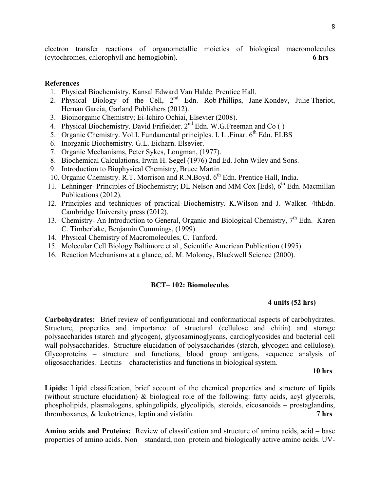electron transfer reactions of organometallic moieties of biological macromolecules (cytochromes, chlorophyll and hemoglobin). **6 hrs** 

### **References**

- 1. Physical Biochemistry. Kansal Edward Van Halde. Prentice Hall.
- 2. Physical Biology of the Cell,  $2^{nd}$  Edn. Rob Phillips, Jane Kondey, Julie Theriot, Hernan Garcia, Garland Publishers (2012).
- 3. Bioinorganic Chemistry; Ei-Ichiro Ochiai, Elsevier (2008).
- 4. Physical Biochemistry. David Frifielder.  $2<sup>nd</sup>$  Edn. W.G.Freeman and Co ()
- 5. Organic Chemistry. Vol.I. Fundamental principles. I. L. Finar.  $6<sup>th</sup>$  Edn. ELBS
- 6. Inorganic Biochemistry. G.L. Eicharn. Elsevier.
- 7. Organic Mechanisms, Peter Sykes, Longman, (1977).
- 8. Biochemical Calculations, Irwin H. Segel (1976) 2nd Ed. John Wiley and Sons.
- 9. Introduction to Biophysical Chemistry, Bruce Martin
- 10. Organic Chemistry. R.T. Morrison and R.N.Boyd. 6<sup>th</sup> Edn. Prentice Hall, India.
- 11. Lehninger- Principles of Biochemistry; DL Nelson and MM Cox [Eds), 6<sup>th</sup> Edn. Macmillan Publications (2012).
- 12. Principles and techniques of practical Biochemistry. K.Wilson and J. Walker*.* 4thEdn. Cambridge University press (2012).
- 13. Chemistry- An Introduction to General, Organic and Biological Chemistry,  $7<sup>th</sup>$  Edn. Karen C. Timberlake, Benjamin Cummings, (1999).
- 14. Physical Chemistry of Macromolecules, C. Tanford.
- 15. Molecular Cell Biology Baltimore et al., Scientific American Publication (1995).
- 16. Reaction Mechanisms at a glance, ed. M. Moloney, Blackwell Science (2000).

#### **BCT**– **102: Biomolecules**

#### **4 units (52 hrs)**

**Carbohydrates:** Brief review of configurational and conformational aspects of carbohydrates. Structure, properties and importance of structural (cellulose and chitin) and storage polysaccharides (starch and glycogen), glycosaminoglycans, cardioglycosides and bacterial cell wall polysaccharides. Structure elucidation of polysaccharides (starch, glycogen and cellulose). Glycoproteins – structure and functions, blood group antigens, sequence analysis of oligosaccharides. Lectins – characteristics and functions in biological system.

#### **10 hrs**

**Lipids:** Lipid classification, brief account of the chemical properties and structure of lipids (without structure elucidation) & biological role of the following: fatty acids, acyl glycerols, phospholipids, plasmalogens, sphingolipids, glycolipids, steroids, eicosanoids – prostaglandins, thromboxanes, & leukotrienes, leptin and visfatin. **7 hrs** 

**Amino acids and Proteins:** Review of classification and structure of amino acids, acid – base properties of amino acids. Non – standard, non–protein and biologically active amino acids. UV-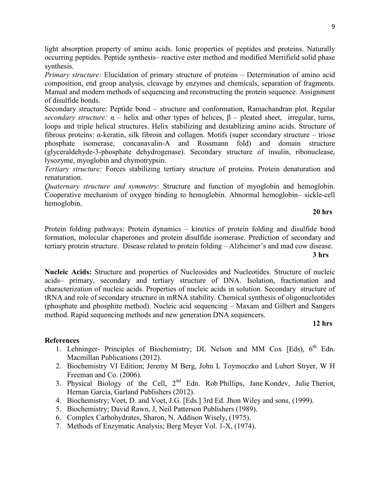light absorption property of amino acids. Ionic properties of peptides and proteins. Naturally occurring peptides. Peptide synthesis– reactive ester method and modified Merrifield solid phase synthesis.

*Primary structure:* Elucidation of primary structure of proteins – Determination of amino acid composition, end group analysis, cleavage by enzymes and chemicals, separation of fragments. Manual and modern methods of sequencing and reconstructing the protein sequence. Assignment of disulfide bonds.

Secondary structure: Peptide bond – structure and conformation, Ramachandran plot. Regular *secondary structure:*  $\alpha$  – helix and other types of helices,  $\beta$  – pleated sheet, irregular, turns, loops and triple helical structures. Helix stabilizing and destablizing amino acids. Structure of fibrous proteins: α-keratin, silk fibroin and collagen. Motifs (super secondary structure – triose phosphate isomerase, concanavalin-A and Rossmann fold) and domain structure (glyceraldehyde-3-phosphate dehydrogenase). Secondary structure of insulin, ribonuclease, lysozyme, myoglobin and chymotrypsin.

*Tertiary structure:* Forces stabilizing tertiary structure of proteins. Protein denaturation and renaturation.

*Quaternary structure and symmetry*: Structure and function of myoglobin and hemoglobin. Cooperative mechanism of oxygen binding to hemoglobin. Abnormal hemoglobin– sickle-cell hemoglobin.

#### **20 hrs**

Protein folding pathways: Protein dynamics – kinetics of protein folding and disulfide bond formation, molecular chaperones and protein disulfide isomerase. Prediction of secondary and tertiary protein structure. Disease related to protein folding – Alzheimer's and mad cow disease. **3 hrs**

**Nucleic Acids:** Structure and properties of Nucleosides and Nucleotides. Structure of nucleic acids– primary, secondary and tertiary structure of DNA. Isolation, fractionation and characterization of nucleic acids. Properties of nucleic acids in solution. Secondary structure of tRNA and role of secondary structure in mRNA stability. Chemical synthesis of oligonucleotides (phosphate and phosphite method). Nucleic acid sequencing – Maxam and Gilbert and Sangers method. Rapid sequencing methods and new generation DNA sequencers.

## **12 hrs**

- 1. Lehninger- Principles of Biochemistry; DL Nelson and MM Cox [Eds),  $6<sup>th</sup>$  Edn. Macmillan Publications (2012).
- 2. Biochemistry VI Edition; Jeremy M Berg, John L Toymoczko and Lubert Stryer, W H Freeman and Co. (2006).
- 3. Physical Biology of the Cell,  $2^{nd}$  Edn. Rob Phillips, Jane Kondev, Julie Theriot, Hernan Garcia, Garland Publishers (2012).
- 4. Biochemistry; Voet, D. and Voet, J.G. [Eds.] 3rd Ed. Jhon Wiley and sons, (1999).
- 5. Biochemistry; David Rawn, J, Neil Patterson Publishers (1989).
- 6. Complex Carbohydrates, Sharon, N. Addison Wisely, (1975).
- 7. Methods of Enzymatic Analysis; Berg Meyer Vol. 1-X, (1974).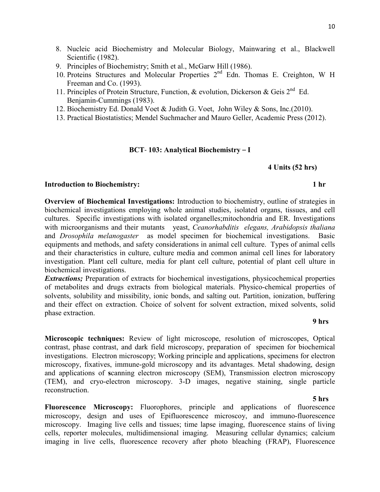- 8. Nucleic acid Biochemistry and Molecular Biology, Mainwaring et al., Blackwell Scientific (1982).
- 9. Principles of Biochemistry; Smith et al., McGarw Hill (1986).
- 10. Proteins Structures and Molecular Properties 2<sup>nd</sup> Edn. Thomas E. Creighton, W H Freeman and Co. (1993).
- 11. Principles of Protein Structure, Function, & evolution, Dickerson & Geis  $2^{nd}$  Ed. Benjamin-Cummings (1983).
- 12. Biochemistry Ed. Donald Voet & Judith G. Voet, John Wiley & Sons, Inc.(2010).
- 13. Practical Biostatistics; Mendel Suchmacher and Mauro Geller, Academic Press (2012).

#### **BCT**- **103: Analytical Biochemistry** – **I**

#### **4 Units (52 hrs)**

#### **Introduction to Biochemistry:** 1 hr

**Overview of Biochemical Investigations:** Introduction to biochemistry, outline of strategies in biochemical investigations employing whole animal studies, isolated organs, tissues, and cell cultures. Specific investigations with isolated organelles;mitochondria and ER. Investigations with microorganisms and their mutants yeast, *Ceanorhabditis elegans, Arabidopsis thaliana*  and *Drosophila melanogaster* as model specimen for biochemical investigations. Basic equipments and methods, and safety considerations in animal cell culture. Types of animal cells and their characteristics in culture, culture media and common animal cell lines for laboratory investigation. Plant cell culture, media for plant cell culture, potential of plant cell ulture in biochemical investigations.

**Extractions;** Preparation of extracts for biochemical investigations, physicochemical properties of metabolites and drugs extracts from biological materials. Physico-chemical properties of solvents, solubility and missibility, ionic bonds, and salting out. Partition, ionization, buffering and their effect on extraction. Choice of solvent for solvent extraction, mixed solvents, solid phase extraction.

#### **9 hrs**

**Microscopic techniques:** Review of light microscope, resolution of microscopes, Optical contrast, phase contrast, and dark field microscopy, preparation of specimen for biochemical investigations. Electron microscopy; Working principle and applications, specimens for electron microscopy, fixatives, immune-gold microscopy and its advantages. Metal shadowing, design and applications of **s**canning electron microscopy (SEM), Transmission electron microscopy (TEM), and cryo-electron microscopy. 3-D images, negative staining, single particle reconstruction.

#### **5 hrs**

**Fluorescence Microscopy:** Fluorophores, principle and applications of fluorescence microscopy, design and uses of Epifluorescence microscoy, and immuno-fluorescence microscopy. Imaging live cells and tissues; time lapse imaging, fluorescence stains of living cells, reporter molecules, multidimensional imaging. Measuring cellular dynamics; calcium imaging in live cells, fluorescence recovery after photo bleaching (FRAP), Fluorescence

#### 10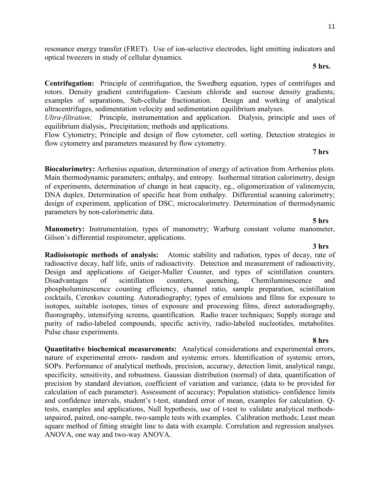resonance energy transfer (FRET). Use of ion-selective electrodes, light emitting indicators and optical tweezers in study of cellular dynamics.

#### **5 hrs.**

**Centrifugation:** Principle of centrifugation, the Swedberg equation, types of centrifuges and rotors. Density gradient centrifugation- Caesium chloride and sucrose density gradients; examples of separations, Sub-cellular fractionation. Design and working of analytical ultracentrifuges, sedimentation velocity and sedimentation equilibrium analyses.

*Ultra-filtration;* Principle, instrumentation and application. Dialysis, principle and uses of equilibrium dialysis,. Precipitation; methods and applications.

Flow Cytometry; Principle and design of flow cytometer, cell sorting. Detection strategies in flow cytometry and parameters measured by flow cytometry.

#### **7 hrs**

**Biocalorimetry:** Arrhenius equation, determination of energy of activation from Arrhenius plots. Main thermodynamic parameters; enthalpy, and entropy. Isothermal titration calorimetry, design of experiments, determination of change in heat capacity, eg., oligomerization of valinomycin, DNA duplex. Determination of specific heat from enthalpy. Differential scanning calorimetry; design of experiment, application of DSC, microcalorimetry. Determination of thermodynamic parameters by non-calorimetric data.

#### **5 hrs**

**Manometry:** Instrumentation, types of manometry; Warburg constant volume manometer, Gilson's differential respirometer, applications.

 **3 hrs Radioisotopic methods of analysis:** Atomic stability and radiation, types of decay, rate of radioactive decay, half life, units of radioactivity. Detection and measurement of radioactivity, Design and applications of Geiger-Muller Counter, and types of scintillation counters. Disadvantages of scintillation counters, quenching, Chemiluminescence and phospholuminescence counting efficiency, channel ratio, sample preparation, scintillation cocktails, Cerenkov counting. Autoradiography; types of emulsions and films for exposure to isotopes, suitable isotopes, times of exposure and processing films, direct autoradiography, fluorography, intensifying screens, quantification. Radio tracer techniques; Supply storage and purity of radio-labeled compounds, specific activity, radio-labeled nucleotides, metabolites. Pulse chase experiments.

 **8 hrs Quantitative biochemical measurements:** Analytical considerations and experimental errors, nature of experimental errors- random and systemic errors. Identification of systemic errors, SOPs. Performance of analytical methods, precision, accuracy, detection limit, analytical range, specificity, sensitivity, and robustness. Gaussian distribution (normal) of data, quantification of precision by standard deviation, coefficient of variation and variance, (data to be provided for calculation of each parameter). Assessment of accuracy; Population statistics- confidence limits and confidence intervals, student's t-test, standard error of mean, examples for calculation. Qtests, examples and applications, Null hypothesis, use of t-test to validate analytical methodsunpaired, paired, one-sample, two-sample tests with examples. Calibration methods; Least mean square method of fitting straight line to data with example. Correlation and regression analyses. ANOVA, one way and two-way ANOVA.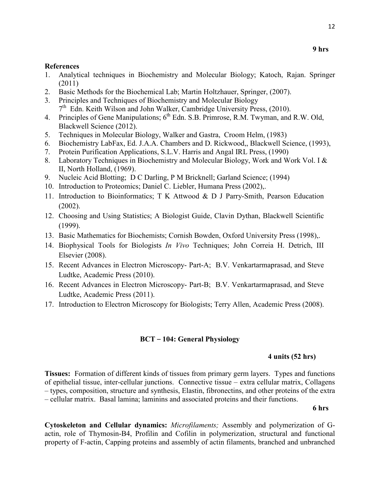#### **References**

1. Analytical techniques in Biochemistry and Molecular Biology; Katoch, Rajan. Springer (2011)

**9 hrs** 

- 2. Basic Methods for the Biochemical Lab; Martin Holtzhauer, Springer, (2007).
- 3. Principles and Techniques of Biochemistry and Molecular Biology 7<sup>th</sup> Edn. Keith Wilson and John Walker, Cambridge University Press, (2010).
- 4. Principles of Gene Manipulations;  $6<sup>th</sup>$  Edn. S.B. Primrose, R.M. Twyman, and R.W. Old, Blackwell Science (2012).
- 5. Techniques in Molecular Biology, Walker and Gastra, Croom Helm, (1983)
- 6. Biochemistry LabFax, Ed. J.A.A. Chambers and D. Rickwood,, Blackwell Science, (1993),
- 7. Protein Purification Applications, S.L.V. Harris and Angal IRL Press, (1990)
- 8. Laboratory Techniques in Biochemistry and Molecular Biology, Work and Work Vol. I & II, North Holland, (1969).
- 9. Nucleic Acid Blotting; D C Darling, P M Bricknell; Garland Science; (1994)
- 10. Introduction to Proteomics; Daniel C. Liebler, Humana Press (2002),.
- 11. Introduction to Bioinformatics; T K Attwood & D J Parry-Smith, Pearson Education (2002).
- 12. Choosing and Using Statistics; A Biologist Guide, Clavin Dythan, Blackwell Scientific (1999).
- 13. Basic Mathematics for Biochemists; Cornish Bowden, Oxford University Press (1998),.
- 14. Biophysical Tools for Biologists *In Vivo* Techniques; John Correia H. Detrich, III Elsevier (2008).
- 15. Recent Advances in Electron Microscopy- Part-A; B.V. Venkartarmaprasad, and Steve Ludtke, Academic Press (2010).
- 16. Recent Advances in Electron Microscopy- Part-B; B.V. Venkartarmaprasad, and Steve Ludtke, Academic Press (2011).
- 17. Introduction to Electron Microscopy for Biologists; Terry Allen, Academic Press (2008).

### **BCT** – **104: General Physiology**

#### **4 units (52 hrs)**

**Tissues:** Formation of different kinds of tissues from primary germ layers. Types and functions of epithelial tissue, inter-cellular junctions. Connective tissue – extra cellular matrix, Collagens – types, composition, structure and synthesis, Elastin, fibronectins, and other proteins of the extra – cellular matrix. Basal lamina; laminins and associated proteins and their functions.

#### **6 hrs**

**Cytoskeleton and Cellular dynamics:** *Microfilaments;* Assembly and polymerization of Gactin, role of Thymosin-B4, Profilin and Cofilin in polymerization, structural and functional property of F-actin, Capping proteins and assembly of actin filaments, branched and unbranched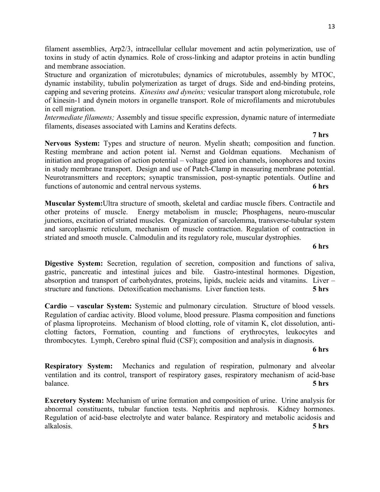filament assemblies, Arp2/3, intracellular cellular movement and actin polymerization, use of toxins in study of actin dynamics. Role of cross-linking and adaptor proteins in actin bundling and membrane association.

Structure and organization of microtubules; dynamics of microtubules, assembly by MTOC, dynamic instability, tubulin polymerization as target of drugs. Side and end-binding proteins, capping and severing proteins. *Kinesins and dyneins;* vesicular transport along microtubule, role of kinesin-1 and dynein motors in organelle transport. Role of microfilaments and microtubules in cell migration.

*Intermediate filaments;* Assembly and tissue specific expression, dynamic nature of intermediate filaments, diseases associated with Lamins and Keratins defects.

 **7 hrs Nervous System:** Types and structure of neuron. Myelin sheath; composition and function. Resting membrane and action potent ial. Nernst and Goldman equations. Mechanism of initiation and propagation of action potential – voltage gated ion channels, ionophores and toxins in study membrane transport. Design and use of Patch-Clamp in measuring membrane potential. Neurotransmitters and receptors; synaptic transmission, post-synaptic potentials. Outline and functions of autonomic and central nervous systems. **6 hrs** 

**Muscular System:**Ultra structure of smooth, skeletal and cardiac muscle fibers. Contractile and other proteins of muscle. Energy metabolism in muscle; Phosphagens, neuro-muscular junctions, excitation of striated muscles. Organization of sarcolemma, transverse-tubular system and sarcoplasmic reticulum, mechanism of muscle contraction. Regulation of contraction in striated and smooth muscle. Calmodulin and its regulatory role, muscular dystrophies.

**Digestive System:** Secretion, regulation of secretion, composition and functions of saliva, gastric, pancreatic and intestinal juices and bile. Gastro-intestinal hormones. Digestion, absorption and transport of carbohydrates, proteins, lipids, nucleic acids and vitamins. Liver – structure and functions. Detoxification mechanisms. Liver function tests. **5 hrs** 

**Cardio – vascular System:** Systemic and pulmonary circulation. Structure of blood vessels. Regulation of cardiac activity. Blood volume, blood pressure. Plasma composition and functions of plasma liproproteins. Mechanism of blood clotting, role of vitamin K, clot dissolution, anticlotting factors, Formation, counting and functions of erythrocytes, leukocytes and thrombocytes. Lymph, Cerebro spinal fluid (CSF); composition and analysis in diagnosis.

**6 hrs** 

**Respiratory System:** Mechanics and regulation of respiration, pulmonary and alveolar ventilation and its control, transport of respiratory gases, respiratory mechanism of acid-base balance. **5 hrs** 

**Excretory System:** Mechanism of urine formation and composition of urine. Urine analysis for abnormal constituents, tubular function tests. Nephritis and nephrosis. Kidney hormones. Regulation of acid-base electrolyte and water balance. Respiratory and metabolic acidosis and alkalosis. **5 hrs**

**6 hrs**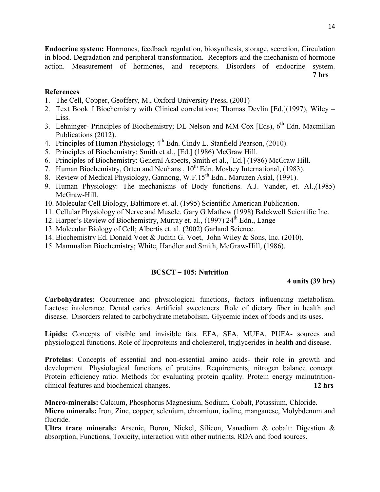**Endocrine system:** Hormones, feedback regulation, biosynthesis, storage, secretion, Circulation in blood. Degradation and peripheral transformation. Receptors and the mechanism of hormone action. Measurement of hormones, and receptors. Disorders of endocrine system.

**7 hrs** 

## **References**

- 1. The Cell, Copper, Geoffery, M., Oxford University Press, (2001)
- 2. Text Book f Biochemistry with Clinical correlations; Thomas Devlin [Ed.](1997), Wiley Liss.
- 3. Lehninger- Principles of Biochemistry; DL Nelson and MM Cox [Eds),  $6<sup>th</sup>$  Edn. Macmillan Publications (2012).
- 4. Principles of Human Physiology;  $4^{th}$  Edn. Cindy L. Stanfield Pearson, (2010).
- 5. Principles of Biochemistry: Smith et al., [Ed.] (1986) McGraw Hill.
- 6. Principles of Biochemistry: General Aspects, Smith et al., [Ed.] (1986) McGraw Hill.
- 7. Human Biochemistry, Orten and Neuhans,  $10^{th}$  Edn. Mosbey International, (1983).
- 8. Review of Medical Physiology, Gannong, W.F.15<sup>th</sup> Edn., Maruzen Asial, (1991).
- 9. Human Physiology: The mechanisms of Body functions. A.J. Vander, et. Al.,(1985) McGraw-Hill.
- 10. Molecular Cell Biology, Baltimore et. al. (1995) Scientific American Publication.
- 11. Cellular Physiology of Nerve and Muscle. Gary G Mathew (1998) Balckwell Scientific Inc.
- 12. Harper's Review of Biochemistry, Murray et. al., (1997) 24<sup>th</sup> Edn., Lange
- 13. Molecular Biology of Cell; Albertis et. al. (2002) Garland Science.
- 14. Biochemistry Ed. Donald Voet & Judith G. Voet, John Wiley & Sons, Inc. (2010).
- 15. Mammalian Biochemistry; White, Handler and Smith, McGraw-Hill, (1986).

## **BCSCT** – **105: Nutrition**

## **4 units (39 hrs)**

**Carbohydrates:** Occurrence and physiological functions, factors influencing metabolism. Lactose intolerance. Dental caries. Artificial sweeteners. Role of dietary fiber in health and disease. Disorders related to carbohydrate metabolism. Glycemic index of foods and its uses.

**Lipids:** Concepts of visible and invisible fats. EFA, SFA, MUFA, PUFA- sources and physiological functions. Role of lipoproteins and cholesterol, triglycerides in health and disease.

**Proteins**: Concepts of essential and non-essential amino acids- their role in growth and development. Physiological functions of proteins. Requirements, nitrogen balance concept. Protein efficiency ratio. Methods for evaluating protein quality. Protein energy malnutritionclinical features and biochemical changes. **12 hrs**

**Macro-minerals:** Calcium, Phosphorus Magnesium, Sodium, Cobalt, Potassium, Chloride.

**Micro minerals:** Iron, Zinc, copper, selenium, chromium, iodine, manganese, Molybdenum and fluoride.

**Ultra trace minerals:** Arsenic, Boron, Nickel, Silicon, Vanadium & cobalt: Digestion & absorption, Functions, Toxicity, interaction with other nutrients. RDA and food sources.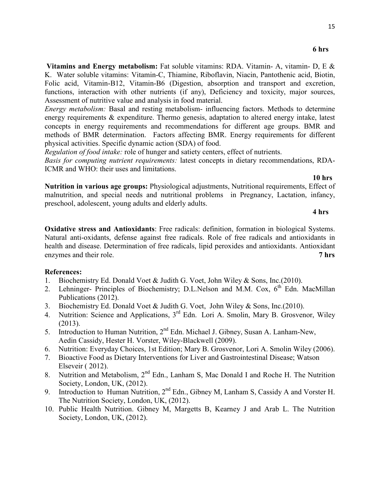**Vitamins and Energy metabolism:** Fat soluble vitamins: RDA. Vitamin- A, vitamin- D, E & K. Water soluble vitamins: Vitamin-C, Thiamine, Riboflavin, Niacin, Pantothenic acid, Biotin, Folic acid, Vitamin-B12, Vitamin-B6 (Digestion, absorption and transport and excretion, functions, interaction with other nutrients (if any), Deficiency and toxicity, major sources, Assessment of nutritive value and analysis in food material.

*Energy metabolism:* Basal and resting metabolism- influencing factors. Methods to determine energy requirements & expenditure. Thermo genesis, adaptation to altered energy intake, latest concepts in energy requirements and recommendations for different age groups. BMR and methods of BMR determination. Factors affecting BMR. Energy requirements for different physical activities. Specific dynamic action (SDA) of food.

*Regulation of food intake:* role of hunger and satiety centers, effect of nutrients.

*Basis for computing nutrient requirements:* latest concepts in dietary recommendations, RDA-ICMR and WHO: their uses and limitations.

**10 hrs**

**Nutrition in various age groups:** Physiological adjustments, Nutritional requirements, Effect of malnutrition, and special needs and nutritional problems in Pregnancy, Lactation, infancy, preschool, adolescent, young adults and elderly adults.

#### **4 hrs**

**Oxidative stress and Antioxidants**: Free radicals: definition, formation in biological Systems. Natural anti-oxidants, defense against free radicals. Role of free radicals and antioxidants in health and disease. Determination of free radicals, lipid peroxides and antioxidants. Antioxidant enzymes and their role. **7 hrs** 

- 1. Biochemistry Ed. Donald Voet & Judith G. Voet, John Wiley & Sons, Inc.(2010).
- 2. Lehninger- Principles of Biochemistry; D.L.Nelson and M.M. Cox,  $6<sup>th</sup>$  Edn. MacMillan Publications (2012).
- 3. Biochemistry Ed. Donald Voet & Judith G. Voet, John Wiley & Sons, Inc.(2010).
- 4. Nutrition: Science and Applications, 3<sup>rd</sup> Edn. Lori A. Smolin, Mary B. Grosvenor, Wiley (2013).
- 5. Introduction to Human Nutrition, 2<sup>nd</sup> Edn. Michael J. Gibney, Susan A. Lanham-New, Aedin Cassidy, Hester H. Vorster, Wiley-Blackwell (2009).
- 6. Nutrition: Everyday Choices, 1st Edition; Mary B. Grosvenor, Lori A. Smolin Wiley (2006).
- 7. Bioactive Food as Dietary Interventions for Liver and Gastrointestinal Disease; Watson Elseveir ( 2012).
- 8. Nutrition and Metabolism, 2<sup>nd</sup> Edn., Lanham S, Mac Donald I and Roche H. The Nutrition Society, London, UK, (2012).
- 9. Introduction to Human Nutrition, 2<sup>nd</sup> Edn., Gibney M, Lanham S, Cassidy A and Vorster H. The Nutrition Society, London, UK, (2012).
- 10. Public Health Nutrition. Gibney M, Margetts B, Kearney J and Arab L. The Nutrition Society, London, UK, (2012).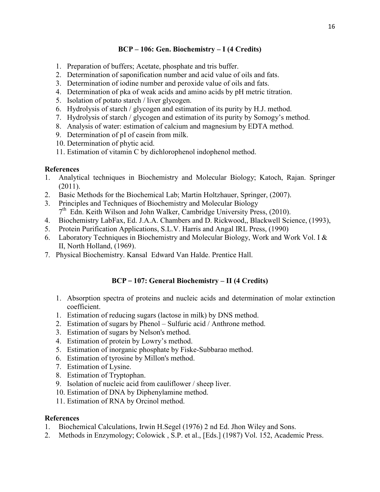## **BCP – 106: Gen. Biochemistry – I (4 Credits)**

- 1. Preparation of buffers; Acetate, phosphate and tris buffer.
- 2. Determination of saponification number and acid value of oils and fats.
- 3. Determination of iodine number and peroxide value of oils and fats.
- 4. Determination of pka of weak acids and amino acids by pH metric titration.
- 5. Isolation of potato starch / liver glycogen.
- 6. Hydrolysis of starch / glycogen and estimation of its purity by H.J. method.
- 7. Hydrolysis of starch / glycogen and estimation of its purity by Somogy's method.
- 8. Analysis of water: estimation of calcium and magnesium by EDTA method.
- 9. Determination of pI of casein from milk.
- 10. Determination of phytic acid.
- 11. Estimation of vitamin C by dichlorophenol indophenol method.

## **References**

- 1. Analytical techniques in Biochemistry and Molecular Biology; Katoch, Rajan. Springer (2011).
- 2. Basic Methods for the Biochemical Lab; Martin Holtzhauer, Springer, (2007).
- 3. Principles and Techniques of Biochemistry and Molecular Biology 7<sup>th</sup> Edn. Keith Wilson and John Walker, Cambridge University Press, (2010).
- 4. Biochemistry LabFax, Ed. J.A.A. Chambers and D. Rickwood,, Blackwell Science, (1993),
- 5. Protein Purification Applications, S.L.V. Harris and Angal IRL Press, (1990)
- 6. Laboratory Techniques in Biochemistry and Molecular Biology, Work and Work Vol. I & II, North Holland, (1969).
- 7. Physical Biochemistry. Kansal Edward Van Halde. Prentice Hall.

## **BCP** – **107: General Biochemistry – II (4 Credits)**

- 1. Absorption spectra of proteins and nucleic acids and determination of molar extinction coefficient.
- 1. Estimation of reducing sugars (lactose in milk) by DNS method.
- 2. Estimation of sugars by Phenol Sulfuric acid / Anthrone method.
- 3. Estimation of sugars by Nelson's method.
- 4. Estimation of protein by Lowry's method.
- 5. Estimation of inorganic phosphate by Fiske-Subbarao method.
- 6. Estimation of tyrosine by Millon's method.
- 7. Estimation of Lysine.
- 8. Estimation of Tryptophan.
- 9. Isolation of nucleic acid from cauliflower / sheep liver.
- 10. Estimation of DNA by Diphenylamine method.
- 11. Estimation of RNA by Orcinol method.

- 1. Biochemical Calculations, Irwin H.Segel (1976) 2 nd Ed. Jhon Wiley and Sons.
- 2. Methods in Enzymology; Colowick , S.P. et al., [Eds.] (1987) Vol. 152, Academic Press.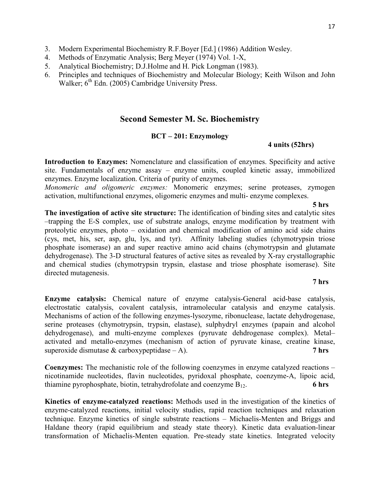- 3. Modern Experimental Biochemistry R.F.Boyer [Ed.] (1986) Addition Wesley.
- 4. Methods of Enzymatic Analysis; Berg Meyer (1974) Vol. 1-X,
- 5. Analytical Biochemistry; D.J.Holme and H. Pick Longman (1983).
- 6. Principles and techniques of Biochemistry and Molecular Biology; Keith Wilson and John Walker;  $6<sup>th</sup>$  Edn. (2005) Cambridge University Press.

## **Second Semester M. Sc. Biochemistry**

## **BCT – 201: Enzymology**

#### **4 units (52hrs)**

**Introduction to Enzymes:** Nomenclature and classification of enzymes. Specificity and active site. Fundamentals of enzyme assay – enzyme units, coupled kinetic assay, immobilized enzymes. Enzyme localization. Criteria of purity of enzymes.

*Monomeric and oligomeric enzymes:* Monomeric enzymes; serine proteases, zymogen activation, multifunctional enzymes, oligomeric enzymes and multi- enzyme complexes.

**5 hrs** 

**The investigation of active site structure:** The identification of binding sites and catalytic sites –trapping the E-S complex, use of substrate analogs, enzyme modification by treatment with proteolytic enzymes, photo – oxidation and chemical modification of amino acid side chains (cys, met, his, ser, asp, glu, lys, and tyr). Affinity labeling studies (chymotrypsin triose phosphate isomerase) an and super reactive amino acid chains (chymotrypsin and glutamate dehydrogenase). The 3-D structural features of active sites as revealed by X-ray crystallographic and chemical studies (chymotrypsin trypsin, elastase and triose phosphate isomerase). Site directed mutagenesis.

#### **7 hrs**

**Enzyme catalysis:** Chemical nature of enzyme catalysis-General acid-base catalysis, electrostatic catalysis, covalent catalysis, intramolecular catalysis and enzyme catalysis. Mechanisms of action of the following enzymes-lysozyme, ribonuclease, lactate dehydrogenase, serine proteases (chymotrypsin, trypsin, elastase), sulphydryl enzymes (papain and alcohol dehydrogenase), and multi-enzyme complexes (pyruvate dehdrogenase complex). Metal– activated and metallo-enzymes (mechanism of action of pyruvate kinase, creatine kinase, superoxide dismutase & carboxypeptidase – A). **7 hrs** 

**Coenzymes:** The mechanistic role of the following coenzymes in enzyme catalyzed reactions – nicotinamide nucleotides, flavin nucleotides, pyridoxal phosphate, coenzyme-A, lipoic acid, thiamine pyrophosphate, biotin, tetrahydrofolate and coenzyme B<sub>12</sub>. 6 hrs

**Kinetics of enzyme-catalyzed reactions:** Methods used in the investigation of the kinetics of enzyme-catalyzed reactions, initial velocity studies, rapid reaction techniques and relaxation technique. Enzyme kinetics of single substrate reactions – Michaelis-Menten and Briggs and Haldane theory (rapid equilibrium and steady state theory). Kinetic data evaluation-linear transformation of Michaelis-Menten equation. Pre-steady state kinetics. Integrated velocity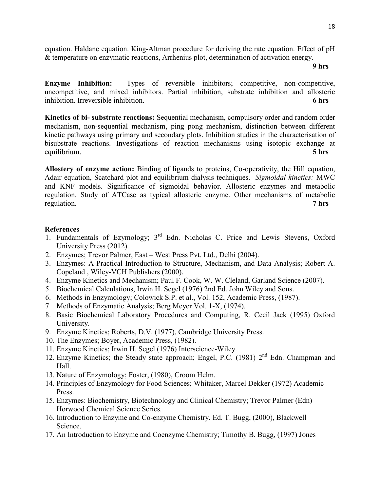equation. Haldane equation. King-Altman procedure for deriving the rate equation. Effect of pH & temperature on enzymatic reactions, Arrhenius plot, determination of activation energy.

#### **9 hrs**

**Enzyme Inhibition:** Types of reversible inhibitors; competitive, non-competitive, uncompetitive, and mixed inhibitors. Partial inhibition, substrate inhibition and allosteric inhibition. Irreversible inhibition. **6 hrs** 

**Kinetics of bi- substrate reactions:** Sequential mechanism, compulsory order and random order mechanism, non-sequential mechanism, ping pong mechanism, distinction between different kinetic pathways using primary and secondary plots. Inhibition studies in the characterisation of bisubstrate reactions. Investigations of reaction mechanisms using isotopic exchange at equilibrium. **5 hrs** 

**Allostery of enzyme action:** Binding of ligands to proteins, Co-operativity, the Hill equation, Adair equation, Scatchard plot and equilibrium dialysis techniques. *Sigmoidal kinetics:* MWC and KNF models. Significance of sigmoidal behavior. Allosteric enzymes and metabolic regulation. Study of ATCase as typical allosteric enzyme. Other mechanisms of metabolic regulation. **7 hrs**

- 1. Fundamentals of Ezymology; 3<sup>rd</sup> Edn. Nicholas C. Price and Lewis Stevens, Oxford University Press (2012).
- 2. Enzymes; Trevor Palmer, East West Press Pvt. Ltd., Delhi (2004).
- 3. Enzymes: A Practical Introduction to Structure, Mechanism, and Data Analysis; Robert A. Copeland , Wiley-VCH Publishers (2000).
- 4. Enzyme Kinetics and Mechanism; Paul F. Cook, W. W. Cleland, Garland Science (2007).
- 5. Biochemical Calculations, Irwin H. Segel (1976) 2nd Ed. John Wiley and Sons.
- 6. Methods in Enzymology; Colowick S.P. et al., Vol. 152, Academic Press, (1987).
- 7. Methods of Enzymatic Analysis; Berg Meyer Vol. 1-X, (1974).
- 8. Basic Biochemical Laboratory Procedures and Computing, R. Cecil Jack (1995) Oxford University.
- 9. Enzyme Kinetics; Roberts, D.V. (1977), Cambridge University Press.
- 10. The Enzymes; Boyer, Academic Press, (1982).
- 11. Enzyme Kinetics; Irwin H. Segel (1976) Interscience-Wiley.
- 12. Enzyme Kinetics; the Steady state approach; Engel, P.C. (1981)  $2<sup>nd</sup>$  Edn. Champman and Hall.
- 13. Nature of Enzymology; Foster, (1980), Croom Helm.
- 14. Principles of Enzymology for Food Sciences; Whitaker, Marcel Dekker (1972) Academic Press.
- 15. Enzymes: Biochemistry, Biotechnology and Clinical Chemistry; Trevor Palmer (Edn) Horwood Chemical Science Series.
- 16. Introduction to Enzyme and Co-enzyme Chemistry. Ed. T. Bugg, (2000), Blackwell Science.
- 17. An Introduction to Enzyme and Coenzyme Chemistry; Timothy B. Bugg, (1997) Jones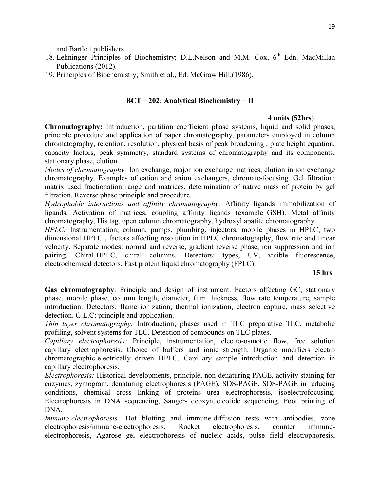and Bartlett publishers.

- 18. Lehninger Principles of Biochemistry; D.L.Nelson and M.M. Cox,  $6<sup>th</sup>$  Edn. MacMillan Publications (2012).
- 19. Principles of Biochemistry; Smith et al., Ed. McGraw Hill,(1986).

#### **BCT** – **202: Analytical Biochemistry** – **II**

#### **4 units (52hrs)**

**Chromatography:** Introduction, partition coefficient phase systems, liquid and solid phases, principle procedure and application of paper chromatography, parameters employed in column chromatography, retention, resolution, physical basis of peak broadening , plate height equation, capacity factors, peak symmetry, standard systems of chromatography and its components, stationary phase, elution.

*Modes of chromatography:* Ion exchange, major ion exchange matrices, elution in ion exchange chromatography. Examples of cation and anion exchangers, chromate-focusing. Gel filtration: matrix used fractionation range and matrices, determination of native mass of protein by gel filtration. Reverse phase principle and procedure.

*Hydrophobic interactions and affinity chromatography:* Affinity ligands immobilization of ligands. Activation of matrices, coupling affinity ligands (example–GSH). Metal affinity chromatography, His tag, open column chromatography, hydroxyl apatite chromatography.

*HPLC:* Instrumentation, column, pumps, plumbing, injectors, mobile phases in HPLC, two dimensional HPLC , factors affecting resolution in HPLC chromatography, flow rate and linear velocity. Separate modes: normal and reverse, gradient reverse phase, ion suppression and ion pairing. Chiral-HPLC, chiral columns. Detectors: types, UV, visible fluorescence, electrochemical detectors. Fast protein liquid chromatography (FPLC).

### **15 hrs**

**Gas chromatography**: Principle and design of instrument. Factors affecting GC, stationary phase, mobile phase, column length, diameter, film thickness, flow rate temperature, sample introduction. Detectors: flame ionization, thermal ionization, electron capture, mass selective detection. G.L.C; principle and application.

*Thin layer chromatography:* Introduction; phases used in TLC preparative TLC, metabolic profiling, solvent systems for TLC. Detection of compounds on TLC plates.

*Capillary electrophoresis:* Principle, instrumentation, electro-osmotic flow, free solution capillary electrophoresis. Choice of buffers and ionic strength. Organic modifiers electro chromatographic-electrically driven HPLC. Capillary sample introduction and detection in capillary electrophoresis.

*Electrophoresis:* Historical developments, principle, non-denaturing PAGE, activity staining for enzymes, zymogram, denaturing electrophoresis (PAGE), SDS-PAGE, SDS-PAGE in reducing conditions, chemical cross linking of proteins urea electrophoresis, isoelectrofocusing. Electrophoresis in DNA sequencing, Sanger- deoxynucleotide sequencing. Foot printing of DNA.

*Immuno-electrophoresis:* Dot blotting and immune-diffusion tests with antibodies, zone electrophoresis/immune-electrophoresis. Rocket electrophoresis, counter immuneelectrophoresis, Agarose gel electrophoresis of nucleic acids, pulse field electrophoresis,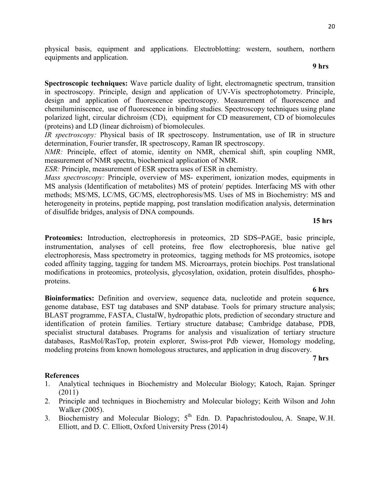physical basis, equipment and applications. Electroblotting: western, southern, northern equipments and application.

#### **9 hrs**

**Spectroscopic techniques:** Wave particle duality of light, electromagnetic spectrum, transition in spectroscopy. Principle, design and application of UV-Vis spectrophotometry. Principle, design and application of fluorescence spectroscopy. Measurement of fluorescence and chemiluminiscence, use of fluorescence in binding studies. Spectroscopy techniques using plane polarized light, circular dichroism (CD), equipment for CD measurement, CD of biomolecules (proteins) and LD (linear dichroism) of biomolecules.

*IR spectroscopy:* Physical basis of IR spectroscopy. Instrumentation, use of IR in structure determination, Fourier transfer, IR spectroscopy, Raman IR spectroscopy.

*NMR:* Principle, effect of atomic, identity on NMR, chemical shift, spin coupling NMR, measurement of NMR spectra, biochemical application of NMR.

*ESR:* Principle, measurement of ESR spectra uses of ESR in chemistry.

*Mass spectroscopy:* Principle, overview of MS- experiment, ionization modes, equipments in MS analysis (Identification of metabolites) MS of protein/ peptides. Interfacing MS with other methods; MS/MS, LC/MS, GC/MS, electrophoresis/MS. Uses of MS in Biochemistry: MS and heterogeneity in proteins, peptide mapping, post translation modification analysis, determination of disulfide bridges, analysis of DNA compounds.

## **15 hrs**

**Proteomics:** Introduction, electrophoresis in proteomics, 2D SDS–PAGE, basic principle, instrumentation, analyses of cell proteins, free flow electrophoresis, blue native gel electrophoresis, Mass spectrometry in proteomics, tagging methods for MS proteomics, isotope coded affinity tagging, tagging for tandem MS. Microarrays, protein biochips. Post translational modifications in proteomics, proteolysis, glycosylation, oxidation, protein disulfides, phosphoproteins.

 **6 hrs Bioinformatics:** Definition and overview, sequence data, nucleotide and protein sequence, genome database, EST tag databases and SNP database. Tools for primary structure analysis; BLAST programme, FASTA, ClustalW, hydropathic plots, prediction of secondary structure and identification of protein families. Tertiary structure database; Cambridge database, PDB, specialist structural databases. Programs for analysis and visualization of tertiary structure databases, RasMol/RasTop, protein explorer, Swiss-prot Pdb viewer, Homology modeling, modeling proteins from known homologous structures, and application in drug discovery.

**7 hrs** 

- 1. Analytical techniques in Biochemistry and Molecular Biology; Katoch, Rajan. Springer (2011)
- 2. Principle and techniques in Biochemistry and Molecular biology; Keith Wilson and John Walker (2005).
- 3. Biochemistry and Molecular Biology;  $5<sup>th</sup>$  Edn. D. Papachristodoulou, A. Snape, W.H. Elliott, and D. C. Elliott, Oxford University Press (2014)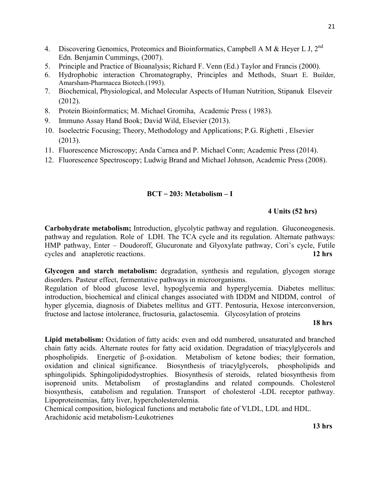- 4. Discovering Genomics, Proteomics and Bioinformatics, Campbell A M & Heyer L J,  $2^{nd}$ Edn. Benjamin Cummings, (2007).
- 5. Principle and Practice of Bioanalysis; Richard F. Venn (Ed.) Taylor and Francis (2000).
- 6. Hydrophobic interaction Chromatography, Principles and Methods, Stuart E. Builder, Amarsham-Pharmacea Biotech.(1993).
- 7. Biochemical, Physiological, and Molecular Aspects of Human Nutrition, Stipanuk Elseveir (2012).
- 8. Protein Bioinformatics; M. Michael Gromiha, Academic Press ( 1983).
- 9. Immuno Assay Hand Book; David Wild, Elsevier (2013).
- 10. Isoelectric Focusing; Theory, Methodology and Applications; P.G. Righetti , Elsevier (2013).
- 11. Fluorescence Microscopy; Anda Carnea and P. Michael Conn; Academic Press (2014).
- 12. Fluorescence Spectroscopy; Ludwig Brand and Michael Johnson, Academic Press (2008).

## **BCT** – **203: Metabolism – I**

## **4 Units (52 hrs)**

**Carbohydrate metabolism;** Introduction, glycolytic pathway and regulation. Gluconeogenesis. pathway and regulation. Role of LDH. The TCA cycle and its regulation. Alternate pathways: HMP pathway, Enter – Doudoroff, Glucuronate and Glyoxylate pathway, Cori's cycle, Futile cycles and anaplerotic reactions. **12 hrs** 

**Glycogen and starch metabolism:** degradation, synthesis and regulation, glycogen storage disorders. Pasteur effect, fermentative pathways in microorganisms.

Regulation of blood glucose level, hypoglycemia and hyperglycemia. Diabetes mellitus: introduction, biochemical and clinical changes associated with IDDM and NIDDM, control of hyper glycemia, diagnosis of Diabetes mellitus and GTT. Pentosuria, Hexose interconversion, fructose and lactose intolerance, fructosuria, galactosemia. Glycosylation of proteins

#### **18 hrs**

**Lipid metabolism:** Oxidation of fatty acids: even and odd numbered, unsaturated and branched chain fatty acids. Alternate routes for fatty acid oxidation. Degradation of triacylglycerols and phospholipids. Energetic of β-oxidation. Metabolism of ketone bodies; their formation, oxidation and clinical significance. Biosynthesis of triacylglycerols, phospholipids and sphingolipids. Sphingolipidodystrophies. Biosynthesis of steroids, related biosynthesis from isoprenoid units. Metabolism of prostaglandins and related compounds. Cholesterol biosynthesis, catabolism and regulation. Transport of cholesterol -LDL receptor pathway. Lipoproteinemias, fatty liver, hypercholesterolemia.

Chemical composition, biological functions and metabolic fate of VLDL, LDL and HDL. Arachidonic acid metabolism-Leukotrienes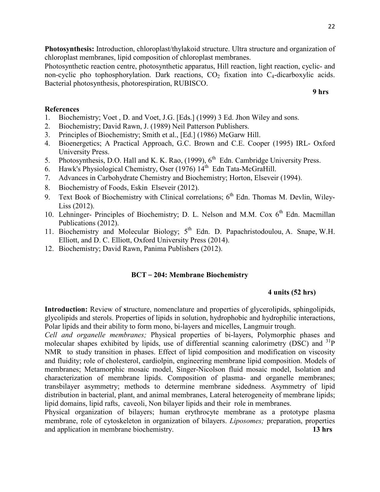**Photosynthesis:** Introduction, chloroplast/thylakoid structure. Ultra structure and organization of chloroplast membranes, lipid composition of chloroplast membranes.

Photosynthetic reaction centre, photosynthetic apparatus, Hill reaction, light reaction, cyclic- and non-cyclic pho tophosphorylation. Dark reactions,  $CO<sub>2</sub>$  fixation into  $C<sub>4</sub>$ -dicarboxylic acids. Bacterial photosynthesis, photorespiration, RUBISCO.

 **9 hrs** 

## **References**

- 1. Biochemistry; Voet , D. and Voet, J.G. [Eds.] (1999) 3 Ed. Jhon Wiley and sons.
- 2. Biochemistry; David Rawn, J. (1989) Neil Patterson Publishers.
- 3. Principles of Biochemistry; Smith et al., [Ed.] (1986) McGarw Hill.
- 4. Bioenergetics; A Practical Approach, G.C. Brown and C.E. Cooper (1995) IRL- Oxford University Press.
- 5. Photosynthesis, D.O. Hall and K. K. Rao, (1999), 6<sup>th</sup> Edn. Cambridge University Press.
- 6. Hawk's Physiological Chemistry, Oser (1976)  $14^{th}$  Edn Tata-McGraHill.
- 7. Advances in Carbohydrate Chemistry and Biochemistry; Horton, Elseveir (1994).
- 8. Biochemistry of Foods, Eskin Elseveir (2012).
- 9. Text Book of Biochemistry with Clinical correlations;  $6<sup>th</sup>$  Edn. Thomas M. Devlin, Wiley-Liss (2012).
- 10. Lehninger- Principles of Biochemistry; D. L. Nelson and M.M. Cox  $6<sup>th</sup>$  Edn. Macmillan Publications (2012).
- 11. Biochemistry and Molecular Biology; 5<sup>th</sup> Edn. D. Papachristodoulou, A. Snape, W.H. Elliott, and D. C. Elliott, Oxford University Press (2014).
- 12. Biochemistry; David Rawn, Panima Publishers (2012).

## **BCT** – **204: Membrane Biochemistry**

## **4 units (52 hrs)**

**Introduction:** Review of **s**tructure, nomenclature and properties of glycerolipids, sphingolipids, glycolipids and sterols. Properties of lipids in solution, hydrophobic and hydrophilic interactions, Polar lipids and their ability to form mono, bi-layers and micelles, Langmuir trough.

*Cell and organelle membranes;* Physical properties of bi-layers, Polymorphic phases and molecular shapes exhibited by lipids, use of differential scanning calorimetry (DSC) and  $\frac{31}{}$ P NMR to study transition in phases. Effect of lipid composition and modification on viscosity and fluidity; role of cholesterol, cardiolpin, engineering membrane lipid composition. Models of membranes; Metamorphic mosaic model, Singer-Nicolson fluid mosaic model, Isolation and characterization of membrane lipids. Composition of plasma- and organelle membranes; transbilayer asymmetry; methods to determine membrane sidedness. Asymmetry of lipid distribution in bacterial, plant, and animal membranes, Lateral heterogeneity of membrane lipids; lipid domains, lipid rafts, caveoli, Non bilayer lipids and their role in membranes.

Physical organization of bilayers; human erythrocyte membrane as a prototype plasma membrane, role of cytoskeleton in organization of bilayers. *Liposomes;* preparation, properties and application in membrane biochemistry. **13 hrs**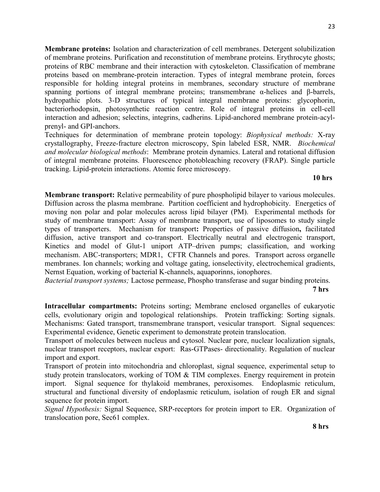**Membrane proteins:** Isolation and characterization of cell membranes. Detergent solubilization of membrane proteins. Purification and reconstitution of membrane proteins. Erythrocyte ghosts; proteins of RBC membrane and their interaction with cytoskeleton. Classification of membrane proteins based on membrane-protein interaction. Types of integral membrane protein, forces responsible for holding integral proteins in membranes, secondary structure of membrane spanning portions of integral membrane proteins; transmembrane α-helices and β-barrels, hydropathic plots. 3-D structures of typical integral membrane proteins: glycophorin, bacteriorhodopsin, photosynthetic reaction centre. Role of integral proteins in cell-cell interaction and adhesion; selectins, integrins, cadherins. Lipid-anchored membrane protein-acylprenyl- and GPI-anchors.

Techniques for determination of membrane protein topology: *Biophysical methods:* X-ray crystallography, Freeze-fracture electron microscopy, Spin labeled ESR, NMR. *Biochemical and molecular biological methods*: Membrane protein dynamics. Lateral and rotational diffusion of integral membrane proteins. Fluorescence photobleaching recovery (FRAP). Single particle tracking. Lipid-protein interactions. Atomic force microscopy.

#### **10 hrs**

**Membrane transport:** Relative permeability of pure phospholipid bilayer to various molecules. Diffusion across the plasma membrane. Partition coefficient and hydrophobicity. Energetics of moving non polar and polar molecules across lipid bilayer (PM). Experimental methods for study of membrane transport: Assay of membrane transport, use of liposomes to study single types of transporters. Mechanism for transport**:** Properties of passive diffusion**,** facilitated diffusion, active transport and co-transport. Electrically neutral and electrogenic transport, Kinetics and model of Glut-1 uniport ATP–driven pumps; classification, and working mechanism. ABC-transporters; MDR1, CFTR Channels and pores. Transport across organelle membranes. Ion channels; working and voltage gating, ionselectivity, electrochemical gradients, Nernst Equation, working of bacterial K-channels, aquaporinns, ionophores.

*Bacterial transport systems;* Lactose permease, Phospho transferase and sugar binding proteins.

#### **7 hrs**

**Intracellular compartments:** Proteins sorting; Membrane enclosed organelles of eukaryotic cells, evolutionary origin and topological relationships. Protein trafficking: Sorting signals. Mechanisms: Gated transport, transmembrane transport, vesicular transport. Signal sequences: Experimental evidence, Genetic experiment to demonstrate protein translocation.

Transport of molecules between nucleus and cytosol. Nuclear pore, nuclear localization signals, nuclear transport receptors, nuclear export: Ras-GTPases- directionality. Regulation of nuclear import and export.

Transport of protein into mitochondria and chloroplast, signal sequence, experimental setup to study protein translocators, working of TOM & TIM complexes. Energy requirement in protein import. Signal sequence for thylakoid membranes, peroxisomes. Endoplasmic reticulum, structural and functional diversity of endoplasmic reticulum, isolation of rough ER and signal sequence for protein import.

*Signal Hypothesis:* Signal Sequence, SRP-receptors for protein import to ER. Organization of translocation pore, Sec61 complex.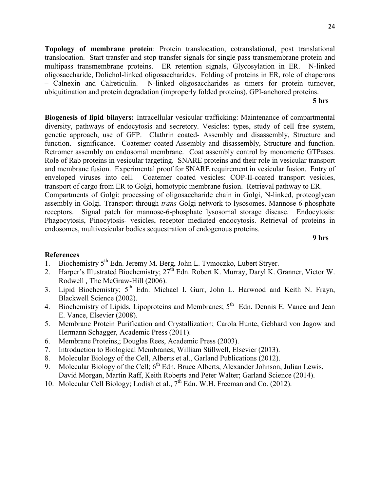**Topology of membrane protein**: Protein translocation, cotranslational, post translational translocation. Start transfer and stop transfer signals for single pass transmembrane protein and multipass transmembrane proteins. ER retention signals, Glycosylation in ER. N-linked oligosaccharide, Dolichol-linked oligosaccharides. Folding of proteins in ER, role of chaperons – Calnexin and Calreticulin. N-linked oligosaccharides as timers for protein turnover, ubiquitination and protein degradation (improperly folded proteins), GPI-anchored proteins.

**5 hrs** 

**Biogenesis of lipid bilayers:** Intracellular vesicular trafficking: Maintenance of compartmental diversity, pathways of endocytosis and secretory. Vesicles: types, study of cell free system, genetic approach, use of GFP. Clathrin coated- Assembly and disassembly, Structure and function. significance. Coatemer coated-Assembly and disassembly, Structure and function. Retromer assembly on endosomal membrane. Coat assembly control by monomeric GTPases. Role of Rab proteins in vesicular targeting. SNARE proteins and their role in vesicular transport and membrane fusion. Experimental proof for SNARE requirement in vesicular fusion. Entry of enveloped viruses into cell. Coatemer coated vesicles: COP-II-coated transport vesicles, transport of cargo from ER to Golgi, homotypic membrane fusion. Retrieval pathway to ER. Compartments of Golgi: processing of oligosaccharide chain in Golgi, N-linked, proteoglycan assembly in Golgi. Transport through *trans* Golgi network to lysosomes. Mannose-6-phosphate receptors. Signal patch for mannose-6-phosphate lysosomal storage disease. Endocytosis: Phagocytosis, Pinocytosis- vesicles, receptor mediated endocytosis. Retrieval of proteins in endosomes, multivesicular bodies sequestration of endogenous proteins.

**9 hrs** 

- 1. Biochemistry 5<sup>th</sup> Edn. Jeremy M. Berg, John L. Tymoczko, Lubert Stryer.
- 2. Harper's Illustrated Biochemistry;  $27^{\text{th}}$  Edn. Robert K. Murray, Daryl K. Granner, Victor W. Rodwell , The McGraw-Hill (2006).
- 3. Lipid Biochemistry; 5th Edn. Michael I. Gurr, John L. Harwood and Keith N. Frayn, Blackwell Science (2002).
- 4. Biochemistry of Lipids, Lipoproteins and Membranes; 5<sup>th</sup> Edn. Dennis E. Vance and Jean E. Vance, Elsevier (2008).
- 5. Membrane Protein Purification and Crystallization; Carola Hunte, Gebhard von Jagow and Hermann Schagger, Academic Press (2011).
- 6. Membrane Proteins,; Douglas Rees, Academic Press (2003).
- 7. Introduction to Biological Membranes; William Stillwell, Elsevier (2013).
- 8. Molecular Biology of the Cell, Alberts et al., Garland Publications (2012).
- 9. Molecular Biology of the Cell;  $6<sup>th</sup>$  Edn. Bruce Alberts, Alexander Johnson, Julian Lewis, David Morgan, Martin Raff, Keith Roberts and Peter Walter; Garland Science (2014).
- 10. Molecular Cell Biology; Lodish et al., 7<sup>th</sup> Edn. W.H. Freeman and Co. (2012).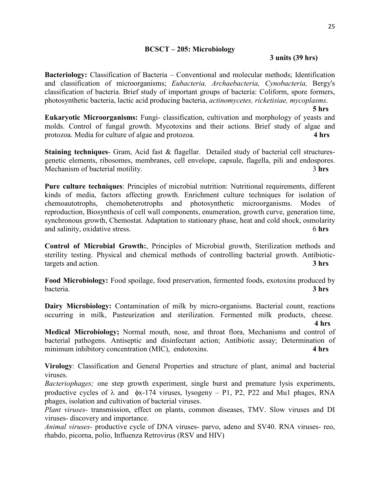## **BCSCT – 205: Microbiology**

## **3 units (39 hrs)**

**Bacteriology:** Classification of Bacteria – Conventional and molecular methods; Identification and classification of microorganisms; *Eubacteria, Archaebacteria, Cynobacteria,* Bergy's classification of bacteria. Brief study of important groups of bacteria: Coliform, spore formers, photosynthetic bacteria, lactic acid producing bacteria, *actinomycetes, ricketisiae, mycoplasms*.

**5 hrs**

**Eukaryotic Microorganisms:** Fungi- classification, cultivation and morphology of yeasts and molds. Control of fungal growth. Mycotoxins and their actions. Brief study of algae and protozoa. Media for culture of algae and protozoa. **4 hrs** 

**Staining techniques**- Gram, Acid fast & flagellar. Detailed study of bacterial cell structuresgenetic elements, ribosomes, membranes, cell envelope, capsule, flagella, pili and endospores. Mechanism of bacterial motility. 3 **hrs**

**Pure culture techniques**: Principles of microbial nutrition: Nutritional requirements, different kinds of media, factors affecting growth. Enrichment culture techniques for isolation of chemoautotrophs, chemoheterotrophs and photosynthetic microorganisms. Modes of reproduction, Biosynthesis of cell wall components, enumeration, growth curve, generation time, synchronous growth, Chemostat. Adaptation to stationary phase, heat and cold shock, osmolarity and salinity, oxidative stress. 6 **hrs** 

**Control of Microbial Growth:**, Principles of Microbial growth, Sterilization methods and sterility testing. Physical and chemical methods of controlling bacterial growth. Antibiotictargets and action. **3 hrs** 

**Food Microbiology:** Food spoilage, food preservation, fermented foods, exotoxins produced by bacteria. **3 hrs** 

**Dairy Microbiology:** Contamination of milk by micro-organisms. Bacterial count, reactions occurring in milk, Pasteurization and sterilization. Fermented milk products, cheese.

 **4 hrs Medical Microbiology;** Normal mouth, nose, and throat flora, Mechanisms and control of bacterial pathogens. Antiseptic and disinfectant action; Antibiotic assay; Determination of minimum inhibitory concentration (MIC), endotoxins. **4 hrs**

**Virology**: Classification and General Properties and structure of plant, animal and bacterial viruses.

*Bacteriophages;* one step growth experiment, single burst and premature lysis experiments, productive cycles of  $\lambda$  and  $\phi$ x-174 viruses, lysogeny – P1, P2, P22 and Mu1 phages, RNA phages, isolation and cultivation of bacterial viruses.

*Plant viruses-* transmission, effect on plants, common diseases, TMV. Slow viruses and DI viruses- discovery and importance.

*Animal viruses-* productive cycle of DNA viruses- parvo, adeno and SV40. RNA viruses- reo, rhabdo, picorna, polio, Influenza Retrovirus (RSV and HIV)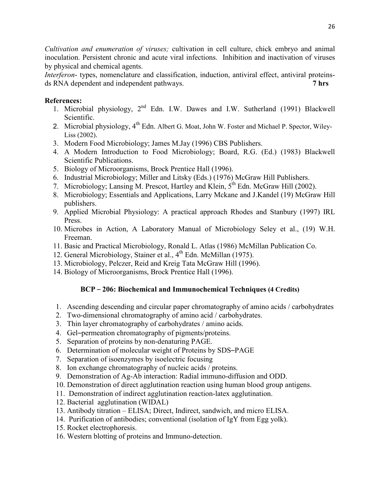*Cultivation and enumeration of viruses;* cultivation in cell culture, chick embryo and animal inoculation. Persistent chronic and acute viral infections. Inhibition and inactivation of viruses by physical and chemical agents.

*Interferon*- types, nomenclature and classification, induction, antiviral effect, antiviral proteinsds RNA dependent and independent pathways. **7 hrs**

## **References:**

- 1. Microbial physiology, 2nd Edn. I.W. Dawes and I.W. Sutherland (1991) Blackwell Scientific.
- 2. Microbial physiology, 4<sup>th</sup> Edn. Albert G. Moat, John W. Foster and Michael P. Spector, Wiley-Liss (2002).
- 3. Modern Food Microbiology; James M.Jay (1996) CBS Publishers.
- 4. A Modern Introduction to Food Microbiology; Board, R.G. (Ed.) (1983) Blackwell Scientific Publications.
- 5. Biology of Microorganisms, Brock Prentice Hall (1996).
- 6. Industrial Microbiology; Miller and Litsky (Eds.) (1976) McGraw Hill Publishers.
- 7. Microbiology; Lansing M. Prescot, Hartley and Klein,  $5^{th}$  Edn. McGraw Hill (2002).
- 8. Microbiology; Essentials and Applications, Larry Mckane and J.Kandel (19) McGraw Hill publishers.
- 9. Applied Microbial Physiology: A practical approach Rhodes and Stanbury (1997) IRL Press.
- 10. Microbes in Action, A Laboratory Manual of Microbiology Seley et al., (19) W.H. Freeman.
- 11. Basic and Practical Microbiology, Ronald L. Atlas (1986) McMillan Publication Co.
- 12. General Microbiology, Stainer et al., 4<sup>th</sup> Edn. McMillan (1975).
- 13. Microbiology, Pelczer, Reid and Kreig Tata McGraw Hill (1996).
- 14. Biology of Microorganisms, Brock Prentice Hall (1996).

## **BCP** – **206: Biochemical and Immunochemical Techniques (4 Credits)**

- 1. Ascending descending and circular paper chromatography of amino acids / carbohydrates
- 2. Two-dimensional chromatography of amino acid / carbohydrates.
- 3. Thin layer chromatography of carbohydrates / amino acids.
- 4. Gel–permeation chromatography of pigments/proteins.
- 5. Separation of proteins by non-denaturing PAGE.
- 6. Determination of molecular weight of Proteins by SDS–PAGE
- 7. Separation of isoenzymes by isoelectric focusing
- 8. Ion exchange chromatography of nucleic acids / proteins.
- 9. Demonstration of Ag-Ab interaction: Radial immuno-diffusion and ODD.
- 10. Demonstration of direct agglutination reaction using human blood group antigens.
- 11. Demonstration of indirect agglutination reaction-latex agglutination.
- 12. Bacterial agglutination (WIDAL)
- 13. Antibody titration ELISA; Direct, Indirect, sandwich, and micro ELISA.
- 14. Purification of antibodies; conventional (isolation of IgY from Egg yolk).
- 15. Rocket electrophoresis.
- 16. Western blotting of proteins and Immuno-detection.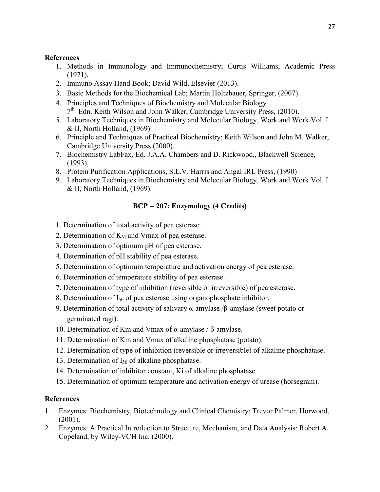## **References**

- 1. Methods in Immunology and Immunochemistry; Curtis Williams, Academic Press (1971).
- 2. Immuno Assay Hand Book; David Wild, Elsevier (2013).
- 3. Basic Methods for the Biochemical Lab; Martin Holtzhauer, Springer, (2007).
- 4. Principles and Techniques of Biochemistry and Molecular Biology 7<sup>th</sup> Edn. Keith Wilson and John Walker, Cambridge University Press, (2010).
- 5. Laboratory Techniques in Biochemistry and Molecular Biology, Work and Work Vol. I & II, North Holland, (1969).
- 6. Principle and Techniques of Practical Biochemistry; Keith Wilson and John M. Walker, Cambridge University Press (2000).
- 7. Biochemistry LabFax, Ed. J.A.A. Chambers and D. Rickwood,, Blackwell Science, (1993),
- 8. Protein Purification Applications, S.L.V. Harris and Angal IRL Press, (1990)
- 9. Laboratory Techniques in Biochemistry and Molecular Biology, Work and Work Vol. I & II, North Holland, (1969).

## **BCP** – **207: Enzymology (4 Credits)**

- 1. Determination of total activity of pea esterase.
- 2. Determination of  $K_M$  and Vmax of pea esterase.
- 3. Determination of optimum pH of pea esterase.
- 4. Determination of pH stability of pea esterase.
- 5. Determination of optimum temperature and activation energy of pea esterase.
- 6. Determination of temperature stability of pea esterase.
- 7. Determination of type of inhibition (reversible or irreversible) of pea esterase.
- 8. Determination of  $I_{50}$  of pea esterase using organophosphate inhibitor.
- 9. Determination of total activity of salivary α-amylase /β-amylase (sweet potato or germinated ragi).
- 10. Determination of Km and Vmax of α-amylase / β-amylase.
- 11. Determination of Km and Vmax of alkaline phosphatase (potato).
- 12. Determination of type of inhibition (reversible or irreversible) of alkaline phosphatase.
- 13. Determination of  $I_{50}$  of alkaline phosphatase.
- 14. Determination of inhibitor constant, Ki of alkaline phosphatase.
- 15. Determination of optimum temperature and activation energy of urease (horsegram).

- 1. Enzymes: Biochemistry, Biotechnology and Clinical Chemistry: Trevor Palmer, Horwood, (2001).
- 2. Enzymes: A Practical Introduction to Structure, Mechanism, and Data Analysis: Robert A. Copeland, by Wiley-VCH Inc. (2000).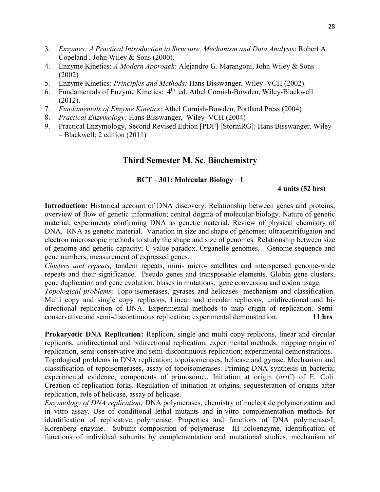- 3. *Enzymes: A Practical Introduction to Structure, Mechanism and Data Analysis*: Robert A. Copeland , John Wiley & Sons (2000).
- 4. Enzyme Kinetics: *A Modern Approach*: Alejandro G. Marangoni, John Wiley & Sons (2002)
- 5. Enzyme Kinetics: *Principles and Methods:* Hans Bisswanger, Wiley–VCH (2002).
- 6. Fundamentals of Enzyme Kinetics:  $4<sup>th</sup>$  ed. Athel Cornish-Bowden, Wiley-Blackwell (2012).
- 7. *Fundamentals of Enzyme Kinetics*: Athel Cornish-Bowden, Portland Press (2004)
- 8. *Practical Enzymology:* Hans Bisswanger, Wiley–VCH (2004)
- 9. Practical Enzymology, Second Revised Edtion [PDF] [StormRG]: Hans Bisswanger, Wiley – Blackwell; 2 edition (2011)

## **Third Semester M. Sc. Biochemistry**

#### **BCT** – **301: Molecular Biology** – **I**

#### **4 units (52 hrs)**

**Introduction:** Historical account of DNA discovery. Relationship between genes and proteins, overview of flow of genetic information; central dogma of molecular biology. Nature of genetic material, experiments confirming DNA as genetic material. Review of physical chemistry of DNA. RNA as genetic material. Variation in size and shape of genomes; ultracentrifugaion and electron microscopic methods to study the shape and size of genomes. Relationship between size of genome and genetic capacity; C-value paradox. Organelle genomes, Genome sequence and gene numbers, measurement of expressed genes.

*Clusters and repeats;* tandem repeats, mini- micro- satellites and interspersed genome-wide repeats and their significance. Pseudo genes and transposable elements. Globin gene clusters, gene duplication and gene evolution, biases in mutations, gene conversion and codon usage.

*Topological problems;* Topo-isomerases, gyrases and helicases- mechanism and classification. Multi copy and single copy replicons, Linear and circular replicons, unidirectional and bidirectional replication of DNA. Experimental methods to map origin of replication. Semiconservative and semi-discontinuous replication; experimental demonstration. **11 hrs** 

**Prokaryotic DNA Replication:** Replicon, single and multi copy replicons, linear and circular replicons, unidirectional and bidirectional replication, experimental methods, mapping origin of replication, semi-conservative and semi-discontinuous replication; experimental demonstrations. Topological problems in DNA replication; topoisomerases, helicase and gyrase. Mechanism and

classification of topoisomerases, assay of topoisomerases. Priming DNA synthesis in bacteria; experimental evidence, components of primosome,. Initiation at origin (*oriC*) of E. Coli. Creation of replication forks. Regulation of initiation at origins, sequesteration of origins after replication, role of helicase, assay of helicase.

*Enzymology of DNA replication;* DNA polymerases, chemistry of nucleotide polymerization and in vitro assay. Use of conditional lethal mutants and in-vitro complementation methods for identification of replicative polymerase. Properties and functions of DNA polymerase-I, Korenberg enzyme. Subunit composition of polymerase –III holoenzyme, identification of functions of individual subunits by complementation and mutational studies. mechanism of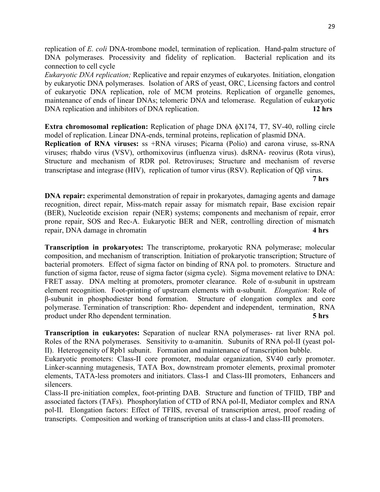replication of *E. coli* DNA-trombone model, termination of replication. Hand-palm structure of DNA polymerases. Processivity and fidelity of replication. Bacterial replication and its connection to cell cycle

*Eukaryotic DNA replication;* Replicative and repair enzymes of eukaryotes. Initiation, elongation by eukaryotic DNA polymerases. Isolation of ARS of yeast, ORC, Licensing factors and control of eukaryotic DNA replication, role of MCM proteins. Replication of organelle genomes, maintenance of ends of linear DNAs; telomeric DNA and telomerase. Regulation of eukaryotic DNA replication and inhibitors of DNA replication. **12 hrs**

**Extra chromosomal replication:** Replication of phage DNA φX174, T7, SV-40, rolling circle model of replication. Linear DNA-ends, terminal proteins, replication of plasmid DNA. **Replication of RNA viruses:** ss +RNA viruses; Picarna (Polio) and carona viruse, ss-RNA viruses; rhabdo virus (VSV), orthomixovirus (influenza virus). dsRNA- reovirus (Rota virus), Structure and mechanism of RDR pol. Retroviruses; Structure and mechanism of reverse transcriptase and integrase (HIV), replication of tumor virus (RSV). Replication of Qβ virus.

**7 hrs** 

**DNA repair:** experimental demonstration of repair in prokaryotes, damaging agents and damage recognition, direct repair, Miss-match repair assay for mismatch repair, Base excision repair (BER), Nucleotide excision repair (NER) systems; components and mechanism of repair, error prone repair, SOS and Rec-A. Eukaryotic BER and NER, controlling direction of mismatch repair, DNA damage in chromatin **4 hrs**

**Transcription in prokaryotes:** The transcriptome, prokaryotic RNA polymerase; molecular composition, and mechanism of transcription. Initiation of prokaryotic transcription; Structure of bacterial promoters. Effect of sigma factor on binding of RNA pol. to promoters. Structure and function of sigma factor, reuse of sigma factor (sigma cycle). Sigma movement relative to DNA: FRET assay. DNA melting at promoters, promoter clearance. Role of  $\alpha$ -subunit in upstream element recognition. Foot-printing of upstream elements with α-subunit. *Elongation:* Role of β-subunit in phosphodiester bond formation. Structure of elongation complex and core polymerase. Termination of transcription: Rho- dependent and independent, termination, RNA product under Rho dependent termination. **5 hrs**

**Transcription in eukaryotes:** Separation of nuclear RNA polymerases- rat liver RNA pol. Roles of the RNA polymerases. Sensitivity to α-amanitin. Subunits of RNA pol-II (yeast pol-II). Heterogeneity of Rpb1 subunit. Formation and maintenance of transcription bubble.

Eukaryotic promoters: Class-II core promoter, modular organization, SV40 early promoter. Linker-scanning mutagenesis, TATA Box, downstream promoter elements, proximal promoter elements, TATA-less promoters and initiators. Class-I and Class-III promoters, Enhancers and silencers.

Class-II pre-initiation complex, foot-printing DAB. Structure and function of TFIID, TBP and associated factors (TAFs). Phosphorylation of CTD of RNA pol-II, Mediator complex and RNA pol-II. Elongation factors: Effect of TFIIS, reversal of transcription arrest, proof reading of transcripts. Composition and working of transcription units at class-I and class-III promoters.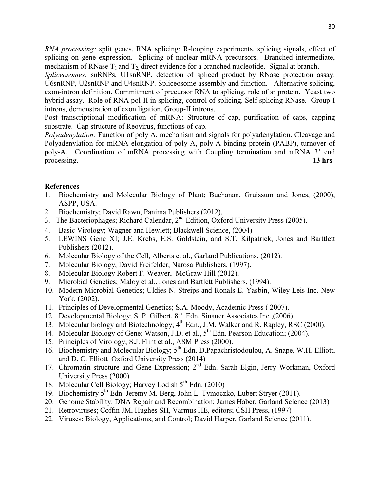*RNA processing:* split genes, RNA splicing: R-looping experiments, splicing signals, effect of splicing on gene expression. Splicing of nuclear mRNA precursors. Branched intermediate, mechanism of RNase  $T_1$  and  $T_2$  direct evidence for a branched nucleotide. Signal at branch.

*Spliceosomes:* snRNPs, U1snRNP, detection of spliced product by RNase protection assay. U6snRNP, U2snRNP and U4snRNP. Spliceosome assembly and function. Alternative splicing, exon-intron definition. Commitment of precursor RNA to splicing, role of sr protein. Yeast two hybrid assay. Role of RNA pol-II in splicing, control of splicing. Self splicing RNase. Group-I introns, demonstration of exon ligation, Group-II introns.

Post transcriptional modification of mRNA: Structure of cap, purification of caps, capping substrate. Cap structure of Reovirus, functions of cap.

*Polyadenylation:* Function of poly A, mechanism and signals for polyadenylation. Cleavage and Polyadenylation for mRNA elongation of poly-A, poly-A binding protein (PABP), turnover of poly-A. Coordination of mRNA processing with Coupling termination and mRNA 3' end processing. **13 hrs**

- 1. Biochemistry and Molecular Biology of Plant; Buchanan, Gruissum and Jones, (2000), ASPP, USA.
- 2. Biochemistry; David Rawn, Panima Publishers (2012).
- 3. The Bacteriophages; Richard Calendar, 2<sup>nd</sup> Edition, Oxford University Press (2005).
- 4. Basic Virology; Wagner and Hewlett; Blackwell Science, (2004)
- 5. LEWINS Gene XI; J.E. Krebs, E.S. Goldstein, and S.T. Kilpatrick, Jones and Barttlett Publishers (2012).
- 6. Molecular Biology of the Cell, Alberts et al., Garland Publications, (2012).
- 7. Molecular Biology, David Freifelder, Narosa Publishers, (1997).
- 8. Molecular Biology Robert F. Weaver, McGraw Hill (2012).
- 9. Microbial Genetics; Maloy et al., Jones and Bartlett Publishers, (1994).
- 10. Modern Microbial Genetics; Uldies N. Streips and Ronals E. Yasbin, Wiley Leis Inc. New York, (2002).
- 11. Principles of Developmental Genetics; S.A. Moody, Academic Press ( 2007).
- 12. Developmental Biology; S. P. Gilbert, 8<sup>th</sup> Edn, Sinauer Associates Inc.,(2006)
- 13. Molecular biology and Biotechnology; 4<sup>th</sup> Edn., J.M. Walker and R. Rapley, RSC (2000).
- 14. Molecular Biology of Gene; Watson, J.D. et al., 5<sup>th</sup> Edn. Pearson Education; (2004).
- 15. Principles of Virology; S.J. Flint et al., ASM Press (2000).
- 16. Biochemistry and Molecular Biology; 5<sup>th</sup> Edn. D.Papachristodoulou, A. Snape, W.H. Elliott, and D. C. Elliott Oxford University Press (2014)
- 17. Chromatin structure and Gene Expression; 2<sup>nd Edn</sup>. Sarah Elgin, Jerry Workman, Oxford University Press (2000)
- 18. Molecular Cell Biology; Harvey Lodish  $5<sup>th</sup>$  Edn. (2010)
- 19. Biochemistry 5th Edn. Jeremy M. Berg, John L. Tymoczko, Lubert Stryer (2011).
- 20. Genome Stability: DNA Repair and Recombination; James Haber, Garland Science (2013)
- 21. Retroviruses; Coffin JM, Hughes SH, Varmus HE, editors; CSH Press, (1997)
- 22. Viruses: Biology, Applications, and Control; David Harper, Garland Science (2011).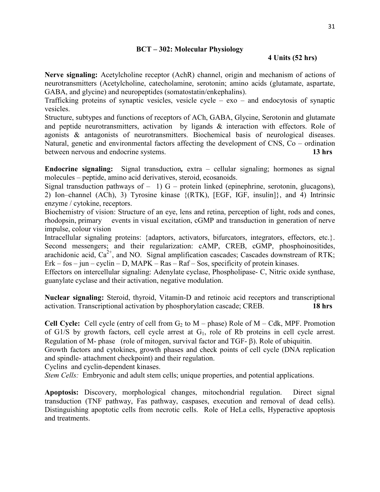## **BCT – 302: Molecular Physiology**

## **4 Units (52 hrs)**

**Nerve signaling:** Acetylcholine receptor (AchR) channel, origin and mechanism of actions of neurotransmitters (Acetylcholine, catecholamine, serotonin; amino acids (glutamate, aspartate, GABA, and glycine) and neuropeptides (somatostatin/enkephalins).

Trafficking proteins of synaptic vesicles, vesicle cycle –  $exo$  – and endocytosis of synaptic vesicles.

Structure, subtypes and functions of receptors of ACh, GABA, Glycine, Serotonin and glutamate and peptide neurotransmitters, activation by ligands & interaction with effectors. Role of agonists & antagonists of neurotransmitters. Biochemical basis of neurological diseases. Natural, genetic and environmental factors affecting the development of CNS, Co – ordination between nervous and endocrine systems. **13 hrs**

**Endocrine signaling:** Signal transduction*,* extra – cellular signaling; hormones as signal molecules – peptide, amino acid derivatives, steroid, ecosanoids.

Signal transduction pathways of  $-1$ ) G – protein linked (epinephrine, serotonin, glucagons), 2) Ion–channel (ACh), 3) Tyrosine kinase {(RTK), [EGF, IGF, insulin]}, and 4) Intrinsic enzyme / cytokine, receptors.

Biochemistry of vision: Structure of an eye, lens and retina, perception of light, rods and cones, rhodopsin, primary events in visual excitation, cGMP and transduction in generation of nerve impulse, colour vision

Intracellular signaling proteins: {adaptors, activators, bifurcators, integrators, effectors, etc.}. Second messengers; and their regularization: cAMP, CREB, cGMP, phosphoinositides, arachidonic acid,  $Ca^{2+}$ , and NO. Signal amplification cascades; Cascades downstream of RTK;  $Erk - f$ os – jun – cyclin – D, MAPK – Ras – Raf – Sos, specificity of protein kinases.

Effectors on intercellular signaling: Adenylate cyclase, Phospholipase- C, Nitric oxide synthase, guanylate cyclase and their activation, negative modulation.

**Nuclear signaling:** Steroid, thyroid, Vitamin-D and retinoic acid receptors and transcriptional activation. Transcriptional activation by phosphorylation cascade; CREB. **18 hrs** 

**Cell Cycle:** Cell cycle (entry of cell from  $G_2$  to  $M$  – phase) Role of  $M$  – Cdk, MPF. Promotion of G1/S by growth factors, cell cycle arrest at  $G<sub>1</sub>$ , role of Rb proteins in cell cycle arrest. Regulation of M- phase (role of mitogen, survival factor and TGF- β). Role of ubiquitin.

Growth factors and cytokines, growth phases and check points of cell cycle (DNA replication and spindle- attachment checkpoint) and their regulation.

Cyclins and cyclin-dependent kinases.

*Stem Cells:* Embryonic and adult stem cells; unique properties, and potential applications.

**Apoptosis:** Discovery, morphological changes, mitochondrial regulation. Direct signal transduction (TNF pathway, Fas pathway, caspases, execution and removal of dead cells). Distinguishing apoptotic cells from necrotic cells. Role of HeLa cells, Hyperactive apoptosis and treatments.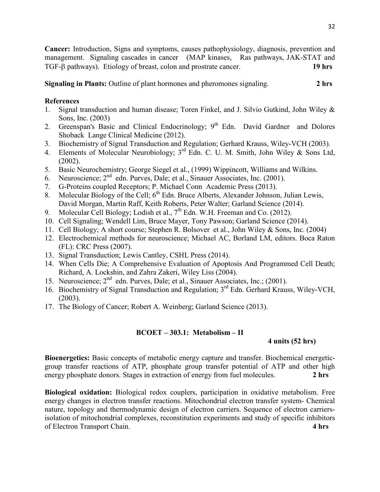**Cancer:** Introduction, Signs and symptoms, causes pathophysiology, diagnosis, prevention and management. Signaling cascades in cancer (MAP kinases, Ras pathways, JAK-STAT and TGF-β pathways). Etiology of breast, colon and prostrate cancer. **19 hrs** 

**Signaling in Plants:** Outline of plant hormones and pheromones signaling. **2 hrs**

## **References**

- 1. Signal transduction and human disease; Toren Finkel, and J. Silvio Gutkind, John Wiley & Sons, Inc. (2003)
- 2. Greenspan's Basic and Clinical Endocrinology; 9<sup>th</sup> Edn. David Gardner and Dolores Shoback Lange Clinical Medicine (2012).
- 3. Biochemistry of Signal Transduction and Regulation; Gerhard Krauss, Wiley-VCH (2003).
- 4. Elements of Molecular Neurobiology; 3<sup>rd</sup> Edn. C. U. M. Smith, John Wiley & Sons Ltd, (2002).
- 5. Basic Neurochemistry; George Siegel et al., (1999) Wippincott, Williams and Wilkins.
- 6. Neuroscience;  $2^{nd}$  edn. Purves, Dale; et al., Sinauer Associates, Inc. (2001).
- 7. G-Proteins coupled Receptors; P. Michael Conn Academic Press (2013).
- 8. Molecular Biology of the Cell; 6<sup>th</sup> Edn. Bruce Alberts, Alexander Johnson, Julian Lewis, David Morgan, Martin Raff, Keith Roberts, Peter Walter; Garland Science (2014).
- 9. Molecular Cell Biology; Lodish et al.,  $7<sup>th</sup>$  Edn. W.H. Freeman and Co. (2012).
- 10. Cell Signaling; Wendell Lim, Bruce Mayer, Tony Pawson; Garland Science (2014).
- 11. Cell Biology; A short course; Stephen R. Bolsover et al., John Wiley & Sons, Inc. (2004)
- 12. Electrochemical methods for neuroscience; Michael AC, Borland LM, editors. Boca Raton (FL): CRC Press (2007).
- 13. Signal Transduction; Lewis Cantley, CSHL Press (2014).
- 14. When Cells Die; A Comprehensive Evaluation of Apoptosis And Programmed Cell Death; Richard, A. Lockshin, and Zahra Zakeri, Wiley Liss (2004).
- 15. Neuroscience;  $2^{nd}$  edn. Purves, Dale; et al., Sinauer Associates, Inc.; (2001).
- 16. Biochemistry of Signal Transduction and Regulation; 3rd Edn. Gerhard Krauss, Wiley-VCH, (2003).
- 17. The Biology of Cancer; Robert A. Weinberg; Garland Science (2013).

## **BCOET – 303.1:****Metabolism – II**

## **4 units (52 hrs)**

**Bioenergetics:** Basic concepts of metabolic energy capture and transfer. Biochemical energeticgroup transfer reactions of ATP, phosphate group transfer potential of ATP and other high energy phosphate donors. Stages in extraction of energy from fuel molecules. **2 hrs**

**Biological oxidation:** Biological redox couplers, participation in oxidative metabolism. Free energy changes in electron transfer reactions. Mitochondrial electron transfer system- Chemical nature, topology and thermodynamic design of electron carriers. Sequence of electron carriersisolation of mitochondrial complexes, reconstitution experiments and study of specific inhibitors of Electron Transport Chain. **4 hrs**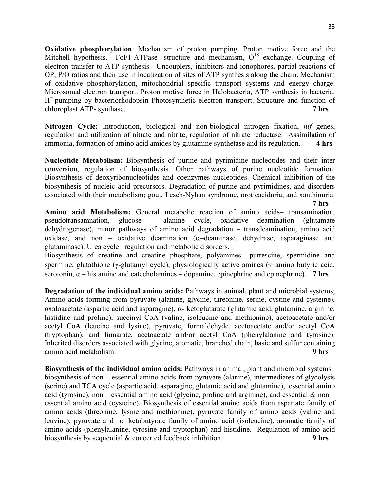**Oxidative phosphorylation**: Mechanism of proton pumping. Proton motive force and the Mitchell hypothesis. FoF1-ATPase- structure and mechanism,  $O^{18}$  exchange. Coupling of electron transfer to ATP synthesis. Uncouplers, inhibitors and ionophores, partial reactions of OP, P/O ratios and their use in localization of sites of ATP synthesis along the chain. Mechanism of oxidative phosphorylation, mitochondrial specific transport systems and energy charge. Microsomal electron transport. Proton motive force in Halobacteria, ATP synthesis in bacteria. H<sup>+</sup> pumping by bacteriorhodopsin Photosynthetic electron transport. Structure and function of chloroplast ATP- synthase. **7 hrs**

**Nitrogen Cycle:** Introduction, biological and non-biological nitrogen fixation, *nif* genes, regulation and utilization of nitrate and nitrite, regulation of nitrate reductase. Assimilation of ammonia, formation of amino acid amides by glutamine synthetase and its regulation. **4 hrs**

**Nucleotide Metabolism:** Biosynthesis of purine and pyrimidine nucleotides and their inter conversion, regulation of biosynthesis. Other pathways of purine nucleotide formation. Biosynthesis of deoxyribonucleotides and coenzymes nucleotides. Chemical inhibition of the biosynthesis of nucleic acid precursors. Degradation of purine and pyrimidines, and disorders associated with their metabolism; gout, Lesch-Nyhan syndrome, oroticaciduria, and xanthinuria.

 **7 hrs** 

**Amino acid Metabolism:** General metabolic reaction of amino acids– transamination, pseudotransamnation, glucose – alanine cycle, oxidative deamination (glutamate dehydrogenase), minor pathways of amino acid degradation – transdeamination, amino acid oxidase, and non – oxidative deamination ( $\alpha$ –deaminase, dehydrase, asparaginase and glutaminase). Urea cycle– regulation and metabolic disorders.

Biosynthesis of creatine and creatine phosphate, polyamines– putrescine, spermidine and spermine, glutathione (γ-glutamyl cycle), physiologically active amines (γ–amino butyric acid, serotonin,  $\alpha$  – histamine and catecholamines – dopamine, epinephrine and epinephrine). **7 hrs** 

**Degradation of the individual amino acids:** Pathways in animal, plant and microbial systems; Amino acids forming from pyruvate (alanine, glycine, threonine, serine, cystine and cysteine), oxaloacetate (aspartic acid and asparagine), α- ketoglutarate (glutamic acid, glutamine, arginine, histidine and proline), succinyl CoA (valine, isoleucine and methionine), acetoacetate and/or acetyl CoA (leucine and lysine), pyruvate, formaldehyde, acetoacetate and/or acetyl CoA (tryptophan), and fumarate, acetoaetate and/or acetyl CoA (phenylalanine and tyrosine). Inherited disorders associated with glycine, aromatic, branched chain, basic and sulfur containing amino acid metabolism. **9 hrs**

**Biosynthesis of the individual amino acids:** Pathways in animal, plant and microbial systems– biosynthesis of non – essential amino acids from pyruvate (alanine), intermediates of glycolysis (serine) and TCA cycle (aspartic acid, asparagine, glutamic acid and glutamine), essential amino acid (tyrosine), non – essential amino acid (glycine, proline and arginine), and essential  $\&$  non – essential amino acid (cysteine). Biosynthesis of essential amino acids from aspartate family of amino acids (threonine, lysine and methionine), pyruvate family of amino acids (valine and leuvine), pyruvate and α−ketobutyrate family of amino acid (isoleucine), aromatic family of amino acids (phenylalanine, tyrosine and tryptophan) and histidine. Regulation of amino acid biosynthesis by sequential & concerted feedback inhibition. **9 hrs**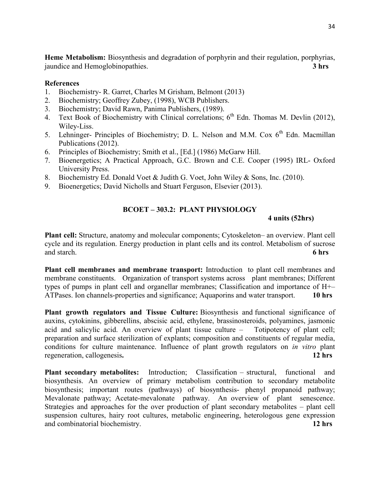**Heme Metabolism:** Biosynthesis and degradation of porphyrin and their regulation, porphyrias, jaundice and Hemoglobinopathies. **3 hrs**

## **References**

- 1. Biochemistry- R. Garret, Charles M Grisham, Belmont (2013)
- 2. Biochemistry; Geoffrey Zubey, (1998), WCB Publishers.
- 3. Biochemistry; David Rawn, Panima Publishers, (1989).
- 4. Text Book of Biochemistry with Clinical correlations;  $6<sup>th</sup>$  Edn. Thomas M. Devlin (2012), Wiley-Liss.
- 5. Lehninger- Principles of Biochemistry; D. L. Nelson and M.M. Cox  $6<sup>th</sup>$  Edn. Macmillan Publications (2012).
- 6. Principles of Biochemistry; Smith et al., [Ed.] (1986) McGarw Hill.
- 7. Bioenergetics; A Practical Approach, G.C. Brown and C.E. Cooper (1995) IRL- Oxford University Press.
- 8. Biochemistry Ed. Donald Voet & Judith G. Voet, John Wiley & Sons, Inc. (2010).
- 9. Bioenergetics; David Nicholls and Stuart Ferguson, Elsevier (2013).

## **BCOET – 303.2: PLANT PHYSIOLOGY**

#### **4 units (52hrs)**

**Plant cell:** Structure, anatomy and molecular components; Cytoskeleton– an overview. Plant cell cycle and its regulation. Energy production in plant cells and its control. Metabolism of sucrose and starch. **6 hrs** 

**Plant cell membranes and membrane transport:** Introduction to plant cell membranes and membrane constituents. Organization of transport systems across plant membranes; Different types of pumps in plant cell and organellar membranes; Classification and importance of H+– ATPases. Ion channels-properties and significance; Aquaporins and water transport. **10 hrs**

Plant growth regulators and Tissue Culture: Biosynthesis and functional significance of auxins, cytokinins, gibberellins, abscisic acid, ethylene, brassinosteroids, polyamines, jasmonic acid and salicylic acid. An overview of plant tissue culture – Totipotency of plant cell; preparation and surface sterilization of explants; composition and constituents of regular media, conditions for culture maintenance. Influence of plant growth regulators on *in vitro* plant regeneration, callogenesis**. 12 hrs** 

**Plant secondary metabolites:** Introduction; Classification – structural, functional and biosynthesis. An overview of primary metabolism contribution to secondary metabolite biosynthesis; important routes (pathways) of biosynthesis- phenyl propanoid pathway; Mevalonate pathway; Acetate-mevalonate pathway. An overview of plant senescence. Strategies and approaches for the over production of plant secondary metabolites – plant cell suspension cultures, hairy root cultures, metabolic engineering, heterologous gene expression and combinatorial biochemistry. **12 hrs**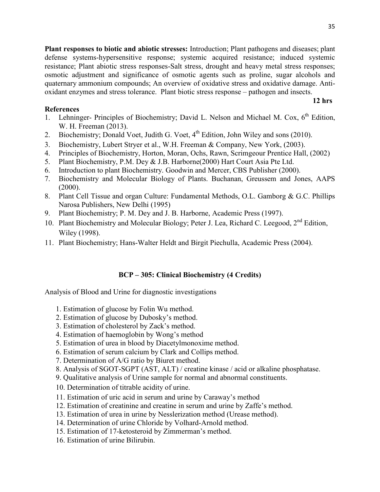35

**Plant responses to biotic and abiotic stresses:** Introduction; Plant pathogens and diseases; plant defense systems-hypersensitive response; systemic acquired resistance; induced systemic resistance; Plant abiotic stress responses-Salt stress, drought and heavy metal stress responses; osmotic adjustment and significance of osmotic agents such as proline, sugar alcohols and quaternary ammonium compounds; An overview of oxidative stress and oxidative damage. Antioxidant enzymes and stress tolerance. Plant biotic stress response – pathogen and insects.

## **References**

1. Lehninger- Principles of Biochemistry; David L. Nelson and Michael M. Cox,  $6<sup>th</sup>$  Edition, W. H. Freeman (2013).

**12 hrs** 

- 2. Biochemistry; Donald Voet, Judith G. Voet,  $4<sup>th</sup>$  Edition, John Wiley and sons (2010).
- 3. Biochemistry, Lubert Stryer et al., W.H. Freeman & Company, New York, (2003).
- 4. Principles of Biochemistry, Horton, Moran, Ochs, Rawn, Scrimgeour Prentice Hall, (2002)
- 5. Plant Biochemistry, P.M. Dey & J.B. Harborne(2000) Hart Court Asia Pte Ltd.
- 6. Introduction to plant Biochemistry. Goodwin and Mercer, CBS Publisher (2000).
- 7. Biochemistry and Molecular Biology of Plants. Buchanan, Greussem and Jones, AAPS (2000).
- 8. Plant Cell Tissue and organ Culture: Fundamental Methods, O.L. Gamborg & G.C. Phillips Narosa Publishers, New Delhi (1995)
- 9. Plant Biochemistry; P. M. Dey and J. B. Harborne, Academic Press (1997).
- 10. Plant Biochemistry and Molecular Biology; Peter J. Lea, Richard C. Leegood, 2<sup>nd</sup> Edition, Wiley (1998).
- 11. Plant Biochemistry; Hans-Walter Heldt and Birgit Piechulla, Academic Press (2004).

## **BCP – 305: Clinical Biochemistry (4 Credits)**

Analysis of Blood and Urine for diagnostic investigations

- 1. Estimation of glucose by Folin Wu method.
- 2. Estimation of glucose by Dubosky's method.
- 3. Estimation of cholesterol by Zack's method.
- 4. Estimation of haemoglobin by Wong's method
- 5. Estimation of urea in blood by Diacetylmonoxime method.
- 6. Estimation of serum calcium by Clark and Collips method.
- 7. Determination of A/G ratio by Biuret method.
- 8. Analysis of SGOT-SGPT (AST, ALT) / creatine kinase / acid or alkaline phosphatase.
- 9. Qualitative analysis of Urine sample for normal and abnormal constituents.
- 10. Determination of titrable acidity of urine.
- 11. Estimation of uric acid in serum and urine by Caraway's method
- 12. Estimation of creatinine and creatine in serum and urine by Zaffe's method.
- 13. Estimation of urea in urine by Nesslerization method (Urease method).
- 14. Determination of urine Chloride by Volhard-Arnold method.
- 15. Estimation of 17-ketosteroid by Zimmerman's method.
- 16. Estimation of urine Bilirubin.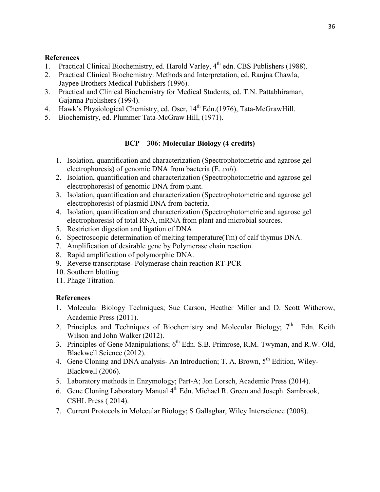## **References**

- 1. Practical Clinical Biochemistry, ed. Harold Varley, 4<sup>th</sup> edn. CBS Publishers (1988).
- 2. Practical Clinical Biochemistry: Methods and Interpretation, ed. Ranjna Chawla, Jaypee Brothers Medical Publishers (1996).
- 3. Practical and Clinical Biochemistry for Medical Students, ed. T.N. Pattabhiraman, Gajanna Publishers (1994).
- 4. Hawk's Physiological Chemistry, ed. Oser, 14<sup>th</sup> Edn.(1976), Tata-McGrawHill.
- 5. Biochemistry, ed. Plummer Tata-McGraw Hill, (1971).

## **BCP – 306: Molecular Biology (4 credits)**

- 1. Isolation, quantification and characterization (Spectrophotometric and agarose gel electrophoresis) of genomic DNA from bacteria (E. *coli*).
- 2. Isolation, quantification and characterization (Spectrophotometric and agarose gel electrophoresis) of genomic DNA from plant.
- 3. Isolation, quantification and characterization (Spectrophotometric and agarose gel electrophoresis) of plasmid DNA from bacteria.
- 4. Isolation, quantification and characterization (Spectrophotometric and agarose gel electrophoresis) of total RNA, mRNA from plant and microbial sources.
- 5. Restriction digestion and ligation of DNA.
- 6. Spectroscopic determination of melting temperature(Tm) of calf thymus DNA.
- 7. Amplification of desirable gene by Polymerase chain reaction.
- 8. Rapid amplification of polymorphic DNA.
- 9. Reverse transcriptase- Polymerase chain reaction RT-PCR
- 10. Southern blotting
- 11. Phage Titration.

- 1. Molecular Biology Techniques; Sue Carson, Heather Miller and D. Scott Witherow, Academic Press (2011).
- 2. Principles and Techniques of Biochemistry and Molecular Biology;  $7<sup>th</sup>$  Edn. Keith Wilson and John Walker (2012).
- 3. Principles of Gene Manipulations; 6<sup>th</sup> Edn. S.B. Primrose, R.M. Twyman, and R.W. Old, Blackwell Science (2012).
- 4. Gene Cloning and DNA analysis- An Introduction; T. A. Brown, 5<sup>th</sup> Edition, Wiley-Blackwell (2006).
- 5. Laboratory methods in Enzymology; Part-A; Jon Lorsch, Academic Press (2014).
- 6. Gene Cloning Laboratory Manual 4<sup>th</sup> Edn. Michael R. Green and Joseph Sambrook, CSHL Press ( 2014).
- 7. Current Protocols in Molecular Biology; S Gallaghar, Wiley Interscience (2008).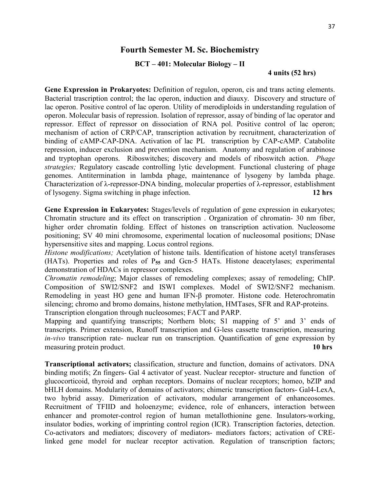## **Fourth Semester M. Sc. Biochemistry**

#### **BCT – 401: Molecular Biology – II**

#### **4 units (52 hrs)**

**Gene Expression in Prokaryotes:** Definition of regulon, operon, cis and trans acting elements. Bacterial trascription control; the lac operon, induction and diauxy. Discovery and structure of lac operon. Positive control of lac operon. Utility of merodiploids in understanding regulation of operon. Molecular basis of repression. Isolation of repressor, assay of binding of lac operator and repressor. Effect of repressor on dissociation of RNA pol. Positive control of lac operon; mechanism of action of CRP/CAP, transcription activation by recruitment, characterization of binding of cAMP-CAP-DNA. Activation of lac PL transcription by CAP-cAMP. Catabolite repression, inducer exclusion and prevention mechanism. Anatomy and regulation of arabinose and tryptophan operons. Riboswitches; discovery and models of riboswitch action. *Phage strategies;* Regulatory cascade controlling lytic development. Functional clustering of phage genomes. Antitermination in lambda phage, maintenance of lysogeny by lambda phage. Characterization of λ-repressor-DNA binding, molecular properties of λ-repressor, establishment of lysogeny. Sigma switching in phage infection. **12 hrs** 

**Gene Expression in Eukaryotes:** Stages/levels of regulation of gene expression in eukaryotes; Chromatin structure and its effect on transcription . Organization of chromatin- 30 nm fiber, higher order chromatin folding. Effect of histones on transcription activation. Nucleosome positioning; SV 40 mini chromosome, experimental location of nucleosomal positions; DNase hypersensitive sites and mapping. Locus control regions.

*Histone modifications;* Acetylation of histone tails. Identification of histone acetyl transferases (HATs). Properties and roles of P**55** and Gcn-5 HATs. Histone deacetylases; experimental demonstration of HDACs in repressor complexes.

*Chromatin remodeling*; Major classes of remodeling complexes; assay of remodeling; ChIP. Composition of SWI2/SNF2 and ISWI complexes. Model of SWI2/SNF2 mechanism. Remodeling in yeast HO gene and human IFN-β promoter. Histone code. Heterochromatin silencing; chromo and bromo domains, histone methylation, HMTases, SFR and RAP-proteins. Transcription elongation through nucleosomes; FACT and PARP.

Mapping and quantifying transcripts; Northern blots; S1 mapping of 5' and 3' ends of transcripts. Primer extension, Runoff transcription and G-less cassette transcription, measuring *in-vivo* transcription rate- nuclear run on transcription. Quantification of gene expression by measuring protein product. **10 hrs**

**Transcriptional activators;** classification, structure and function, domains of activators. DNA binding motifs; Zn fingers- Gal 4 activator of yeast. Nuclear receptor- structure and function of glucocorticoid, thyroid and orphan receptors. Domains of nuclear receptors; homeo, bZIP and bHLH domains. Modularity of domains of activators; chimeric transcription factors- Gal4-LexA, two hybrid assay. Dimerization of activators, modular arrangement of enhanceosomes. Recruitment of TFIID and holoenzyme; evidence, role of enhancers, interaction between enhancer and promoter-control region of human metallothionine gene. Insulators-working, insulator bodies, working of imprinting control region (ICR). Transcription factories, detection. Co-activators and mediators; discovery of mediators- mediators factors; activation of CRElinked gene model for nuclear receptor activation. Regulation of transcription factors;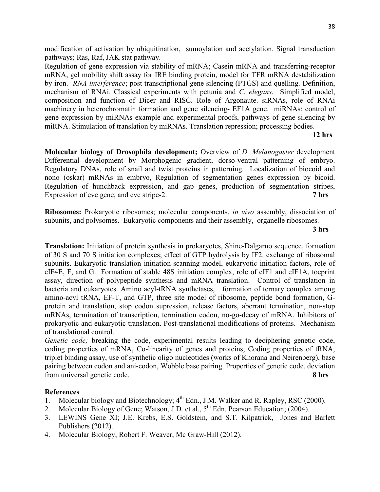Regulation of gene expression via stability of mRNA; Casein mRNA and transferring-receptor mRNA, gel mobility shift assay for IRE binding protein, model for TFR mRNA destabilization by iron. *RNA interference*; post transcriptional gene silencing (PTGS) and quelling. Definition, mechanism of RNAi. Classical experiments with petunia and *C. elegans.* Simplified model, composition and function of Dicer and RISC. Role of Argonaute. siRNAs, role of RNAi machinery in heterochromatin formation and gene silencing- EF1A gene. miRNAs; control of gene expression by miRNAs example and experimental proofs, pathways of gene silencing by miRNA. Stimulation of translation by miRNAs. Translation repression; processing bodies.

#### **12 hrs**

**Molecular biology of Drosophila development;** Overview of *D .Melanogaster* development Differential development by Morphogenic gradient, dorso-ventral patterning of embryo. Regulatory DNAs, role of snail and twist proteins in patterning. Localization of biocoid and nono (oskar) mRNAs in embryo, Regulation of segmentation genes expression by bicoid. Regulation of hunchback expression, and gap genes, production of segmentation stripes, Expression of eve gene, and eve stripe-2. **7 hrs**

**Ribosomes:** Prokaryotic ribosomes; molecular components, *in vivo* assembly, dissociation of subunits, and polysomes. Eukaryotic components and their assembly, organelle ribosomes.

## **3 hrs**

**Translation:** Initiation of protein synthesis in prokaryotes, Shine-Dalgarno sequence, formation of 30 S and 70 S initiation complexes; effect of GTP hydrolysis by IF2. exchange of ribosomal subunits. Eukaryotic translation initiation-scanning model, eukaryotic initiation factors, role of eIF4E, F, and G. Formation of stable 48S initiation complex, role of eIF1 and eIF1A, toeprint assay, direction of polypeptide synthesis and mRNA translation. Control of translation in bacteria and eukaryotes. Amino acyl-tRNA synthetases, formation of ternary complex among amino-acyl tRNA, EF-T, and GTP, three site model of ribosome, peptide bond formation, Gprotein and translation, stop codon supression, release factors, aberrant termination, non-stop mRNAs, termination of transcription, termination codon, no-go-decay of mRNA. Inhibitors of prokaryotic and eukaryotic translation. Post-translational modifications of proteins. Mechanism of translational control.

*Genetic code;* breaking the code, experimental results leading to deciphering genetic code, coding properties of mRNA, Co-linearity of genes and proteins, Coding properties of tRNA, triplet binding assay, use of synthetic oligo nucleotides (works of Khorana and Neirenberg), base pairing between codon and ani-codon, Wobble base pairing. Properties of genetic code, deviation from universal genetic code. **8 hrs**

- 1. Molecular biology and Biotechnology;  $4^{th}$  Edn., J.M. Walker and R. Rapley, RSC (2000).
- 2. Molecular Biology of Gene; Watson, J.D. et al., 5<sup>th</sup> Edn. Pearson Education; (2004).
- 3. LEWINS Gene XI; J.E. Krebs, E.S. Goldstein, and S.T. Kilpatrick, Jones and Barlett Publishers (2012).
- 4. Molecular Biology; Robert F. Weaver, Mc Graw-Hill (2012).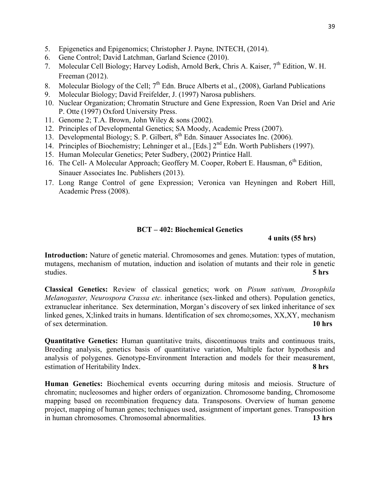- 5. Epigenetics and Epigenomics; Christopher J. Payne*,* INTECH, (2014).
- 6. Gene Control; David Latchman, Garland Science (2010).
- 7. Molecular Cell Biology; Harvey Lodish, Arnold Berk, Chris A. Kaiser, 7<sup>th</sup> Edition, W. H. Freeman (2012).
- 8. Molecular Biology of the Cell;  $7<sup>th</sup>$  Edn. Bruce Alberts et al., (2008), Garland Publications
- 9. Molecular Biology; David Freifelder, J. (1997) Narosa publishers.
- 10. Nuclear Organization; Chromatin Structure and Gene Expression, Roen Van Driel and Arie P. Otte (1997) Oxford University Press.
- 11. Genome 2; T.A. Brown, John Wiley & sons (2002).
- 12. Principles of Developmental Genetics; SA Moody, Academic Press (2007).
- 12. Frincipies of Developmental Sincere, Service, 8th Edn. Sinauer Associates Inc. (2006).
- 14. Principles of Biochemistry; Lehninger et al., [Eds.]  $2<sup>nd</sup>$  Edn. Worth Publishers (1997).
- 15. Human Molecular Genetics; Peter Sudbery, (2002) Printice Hall.
- 16. The Cell- A Molecular Approach; Geoffery M. Cooper, Robert E. Hausman, 6<sup>th</sup> Edition, Sinauer Associates Inc. Publishers (2013).
- 17. Long Range Control of gene Expression; Veronica van Heyningen and Robert Hill, Academic Press (2008).

## **BCT – 402: Biochemical Genetics**

## **4 units (55 hrs)**

**Introduction:** Nature of genetic material. Chromosomes and genes. Mutation: types of mutation, mutagens, mechanism of mutation, induction and isolation of mutants and their role in genetic studies. **5 hrs**

**Classical Genetics:** Review of classical genetics; work on *Pisum sativum, Drosophila Melanogaster, Neurospora Crassa etc.* inheritance (sex-linked and others). Population genetics, extranuclear inheritance. Sex determination, Morgan's discovery of sex linked inheritance of sex linked genes, X;linked traits in humans. Identification of sex chromo;somes, XX,XY, mechanism of sex determination. **10 hrs** 

**Quantitative Genetics:** Human quantitative traits, discontinuous traits and continuous traits, Breeding analysis, genetics basis of quantitative variation, Multiple factor hypothesis and analysis of polygenes. Genotype-Environment Interaction and models for their measurement, estimation of Heritability Index. **8 hrs** 

**Human Genetics:** Biochemical events occurring during mitosis and meiosis. Structure of chromatin; nucleosomes and higher orders of organization. Chromosome banding, Chromosome mapping based on recombination frequency data. Transposons. Overview of human genome project, mapping of human genes; techniques used, assignment of important genes. Transposition in human chromosomes. Chromosomal abnormalities. **13 hrs**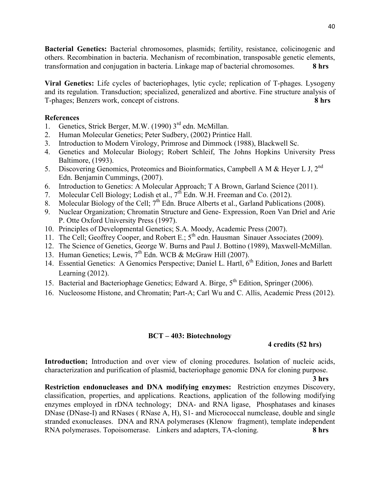**Bacterial Genetics:** Bacterial chromosomes, plasmids; fertility, resistance, colicinogenic and others. Recombination in bacteria. Mechanism of recombination, transposable genetic elements, transformation and conjugation in bacteria. Linkage map of bacterial chromosomes. **8 hrs** 

**Viral Genetics:** Life cycles of bacteriophages, lytic cycle; replication of T-phages. Lysogeny and its regulation. Transduction; specialized, generalized and abortive. Fine structure analysis of T-phages; Benzers work, concept of cistrons. **8 hrs**

## **References**

- 1. Genetics, Strick Berger, M.W. (1990) 3<sup>rd</sup> edn. McMillan.
- 2. Human Molecular Genetics; Peter Sudbery, (2002) Printice Hall.
- 3. Introduction to Modern Virology, Primrose and Dimmock (1988), Blackwell Sc.
- 4. Genetics and Molecular Biology; Robert Schleif, The Johns Hopkins University Press Baltimore, (1993).
- 5. Discovering Genomics, Proteomics and Bioinformatics, Campbell A M & Heyer L J,  $2^{nd}$ Edn. Benjamin Cummings, (2007).
- 6. Introduction to Genetics: A Molecular Approach; T A Brown, Garland Science (2011).
- 7. Molecular Cell Biology; Lodish et al., 7<sup>th</sup> Edn. W.H. Freeman and Co. (2012).
- 8. Molecular Biology of the Cell; 7<sup>th</sup> Edn. Bruce Alberts et al., Garland Publications (2008).
- 9. Nuclear Organization; Chromatin Structure and Gene- Expression, Roen Van Driel and Arie P. Otte Oxford University Press (1997).
- 10. Principles of Developmental Genetics; S.A. Moody, Academic Press (2007).
- 11. The Cell; Geoffrey Cooper, and Robert E.; 5<sup>th</sup> edn. Hausman Sinauer Associates (2009).
- 12. The Science of Genetics, George W. Burns and Paul J. Bottino (1989), Maxwell-McMillan.
- 13. Human Genetics; Lewis, 7<sup>th</sup> Edn. WCB & McGraw Hill (2007).
- 14. Essential Genetics: A Genomics Perspective; Daniel L. Hartl, 6<sup>th</sup> Edition, Jones and Barlett Learning (2012).
- 15. Bacterial and Bacteriophage Genetics; Edward A. Birge,  $5^{th}$  Edition, Springer (2006).
- 16. Nucleosome Histone, and Chromatin; Part-A; Carl Wu and C. Allis, Academic Press (2012).

## **BCT – 403: Biotechnology**

## **4 credits (52 hrs)**

**Introduction;** Introduction and over view of cloning procedures. Isolation of nucleic acids, characterization and purification of plasmid, bacteriophage genomic DNA for cloning purpose.

 **3 hrs Restriction endonucleases and DNA modifying enzymes:** Restriction enzymes Discovery, classification, properties, and applications. Reactions, application of the following modifying enzymes employed in rDNA technology; DNA- and RNA ligase, Phosphatases and kinases DNase (DNase-I) and RNases ( RNase A, H), S1- and Micrococcal numclease, double and single stranded exonucleases. DNA and RNA polymerases (Klenow fragment), template independent RNA polymerases. Topoisomerase. Linkers and adapters, TA-cloning. **8 hrs**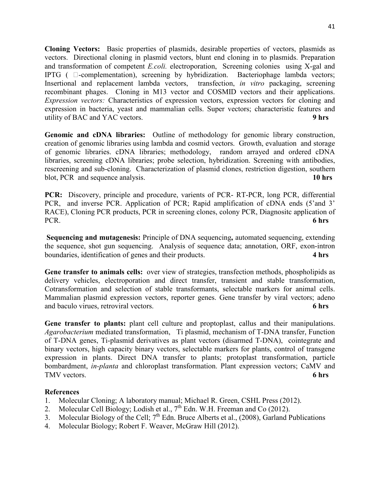**Cloning Vectors:** Basic properties of plasmids, desirable properties of vectors, plasmids as vectors. Directional cloning in plasmid vectors, blunt end cloning in to plasmids. Preparation and transformation of competent *E.coli.* electroporation, Screening colonies using X-gal and IPTG ( $\square$ -complementation), screening by hybridization. Bacteriophage lambda vectors; Insertional and replacement lambda vectors, transfection, *in vitro* packaging, screening recombinant phages. Cloning in M13 vector and COSMID vectors and their applications. *Expression vectors:* Characteristics of expression vectors, expression vectors for cloning and expression in bacteria, yeast and mammalian cells. Super vectors; characteristic features and utility of BAC and YAC vectors. **9 hrs**

**Genomic and cDNA libraries:** Outline of methodology for genomic library construction, creation of genomic libraries using lambda and cosmid vectors. Growth, evaluation and storage of genomic libraries. cDNA libraries; methodology, random arrayed and ordered cDNA libraries, screening cDNA libraries; probe selection, hybridization. Screening with antibodies, rescreening and sub-cloning. Characterization of plasmid clones, restriction digestion, southern blot, PCR and sequence analysis. **10 hrs** 

**PCR:** Discovery, principle and procedure, varients of PCR- RT-PCR, long PCR, differential PCR, and inverse PCR. Application of PCR; Rapid amplification of cDNA ends (5'and 3' RACE), Cloning PCR products, PCR in screening clones, colony PCR, Diagnositc application of PCR. **6 hrs** 

**Sequencing and mutagenesis:** Principle of DNA sequencing**,** automated sequencing, extending the sequence, shot gun sequencing. Analysis of sequence data; annotation, ORF, exon-intron boundaries, identification of genes and their products. **4 hrs** 

**Gene transfer to animals cells:** over view of strategies, transfection methods, phospholipids as delivery vehicles, electroporation and direct transfer, transient and stable transformation, Cotransformation and selection of stable transformants, selectable markers for animal cells. Mammalian plasmid expression vectors, reporter genes. Gene transfer by viral vectors; adeno and baculo virues, retroviral vectors. **6 hrs**

Gene transfer to plants: plant cell culture and proptoplast, callus and their manipulations. *Agarobacterium* mediated transformation, Ti plasmid, mechanism of T-DNA transfer, Function of T-DNA genes, Ti-plasmid derivatives as plant vectors (disarmed T-DNA), cointegrate and binary vectors, high capacity binary vectors, selectable markers for plants, control of transgene expression in plants. Direct DNA transfer to plants; protoplast transformation, particle bombardment, *in-planta* and chloroplast transformation. Plant expression vectors; CaMV and TMV vectors. **6 hrs**

- 1. Molecular Cloning; A laboratory manual; Michael R. Green, CSHL Press (2012).
- 2. Molecular Cell Biology; Lodish et al.,  $7<sup>th</sup>$  Edn. W.H. Freeman and Co (2012).
- 3. Molecular Biology of the Cell;  $7<sup>th</sup>$  Edn. Bruce Alberts et al., (2008), Garland Publications
- 4. Molecular Biology; Robert F. Weaver, McGraw Hill (2012).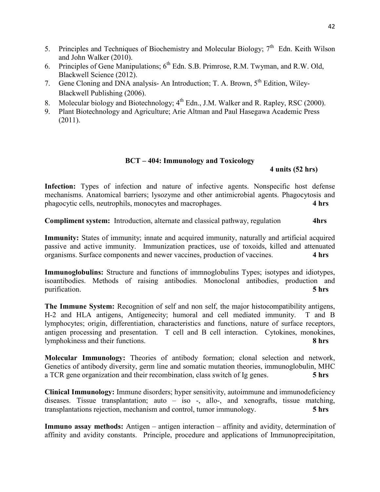- 5. Principles and Techniques of Biochemistry and Molecular Biology;  $7<sup>th</sup>$  Edn. Keith Wilson and John Walker (2010).
- 6. Principles of Gene Manipulations;  $6<sup>th</sup>$  Edn. S.B. Primrose, R.M. Twyman, and R.W. Old, Blackwell Science (2012).
- 7. Gene Cloning and DNA analysis- An Introduction; T. A. Brown, 5<sup>th</sup> Edition, Wiley-Blackwell Publishing (2006).
- 8. Molecular biology and Biotechnology; 4<sup>th</sup> Edn., J.M. Walker and R. Rapley, RSC (2000).
- 9. Plant Biotechnology and Agriculture; Arie Altman and Paul Hasegawa Academic Press (2011).

## **BCT – 404: Immunology and Toxicology**

 **4 units (52 hrs)** 

Infection: Types of infection and nature of infective agents. Nonspecific host defense mechanisms. Anatomical barriers; lysozyme and other antimicrobial agents. Phagocytosis and phagocytic cells, neutrophils, monocytes and macrophages. **4 hrs**

**Compliment system:** Introduction, alternate and classical pathway, regulation **4hrs** 

**Immunity:** States of immunity; innate and acquired immunity, naturally and artificial acquired passive and active immunity. Immunization practices, use of toxoids, killed and attenuated organisms. Surface components and newer vaccines, production of vaccines. **4 hrs**

**Immunoglobulins:** Structure and functions of immnoglobulins Types; isotypes and idiotypes, isoantibodies. Methods of raising antibodies. Monoclonal antibodies, production and purification. **5 hrs** 

**The Immune System:** Recognition of self and non self, the major histocompatibility antigens, H-2 and HLA antigens, Antigenecity; humoral and cell mediated immunity. T and B lymphocytes; origin, differentiation, characteristics and functions, nature of surface receptors, antigen processing and presentation. T cell and B cell interaction. Cytokines, monokines, lymphokiness and their functions. **8 hrs**

**Molecular Immunology:** Theories of antibody formation; clonal selection and network, Genetics of antibody diversity, germ line and somatic mutation theories, immunoglobulin, MHC a TCR gene organization and their recombination, class switch of Ig genes. **5 hrs**

**Clinical Immunology:** Immune disorders; hyper sensitivity, autoimmune and immunodeficiency diseases. Tissue transplantation; auto – iso -, allo-, and xenografts, tissue matching, transplantations rejection, mechanism and control, tumor immunology. **5 hrs**

**Immuno assay methods:** Antigen – antigen interaction – affinity and avidity, determination of affinity and avidity constants. Principle, procedure and applications of Immunoprecipitation,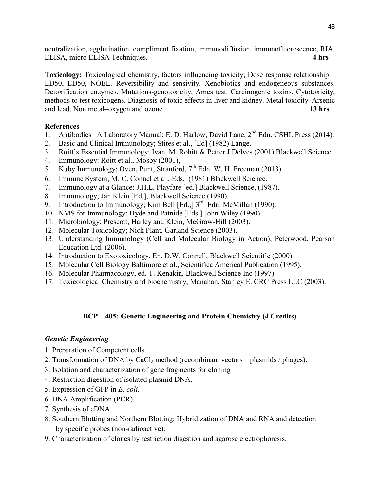neutralization, agglutination, compliment fixation, immunodiffusion, immunofluorescence, RIA, ELISA, micro ELISA Techniques. **4 hrs** 

**Toxicology:** Toxicological chemistry, factors influencing toxicity; Dose response relationship – LD50, ED50, NOEL. Reversibility and sensivity. Xenobiotics and endogeneous substances. Detoxification enzymes. Mutations-genotoxicity, Ames test. Carcinogenic toxins. Cytotoxicity, methods to test toxicogens. Diagnosis of toxic effects in liver and kidney. Metal toxicity–Arsenic and lead. Non metal–oxygen and ozone. **13 hrs**

## **References**

- 1. Antibodies– A Laboratory Manual; E. D. Harlow, David Lane, 2<sup>nd</sup> Edn. CSHL Press (2014).
- 2. Basic and Clinical Immunology; Stites et al., [Ed] (1982) Lange.
- 3. Roitt's Essential Immunology; Ivan, M. Rohitt & Petrer J Delves (2001) Blackwell Science.
- 4. Immunology: Roitt et al., Mosby (2001),
- 5. Kuby Immunology; Oven, Punt, Stranford,  $7<sup>th</sup>$  Edn. W. H. Freeman (2013).
- 6. Immune System; M. C. Connel et al., Eds. (1981) Blackwell Science.
- 7. Immunology at a Glance: J.H.L. Playfare [ed.] Blackwell Science, (1987).
- 8. Immunology; Jan Klein [Ed.], Blackwell Science (1990).
- 9. Introduction to Immunology; Kim Bell [Ed.,] 3<sup>rd</sup> Edn. McMillan (1990).
- 10. NMS for Immunology; Hyde and Patnide [Eds.] John Wiley (1990).
- 11. Microbiology; Prescott, Harley and Klein, McGraw-Hill (2003).
- 12. Molecular Toxicology; Nick Plant, Garland Science (2003).
- 13. Understanding Immunology (Cell and Molecular Biology in Action); Peterwood, Pearson Education Ltd. (2006).
- 14. Introduction to Exotoxicology, En. D.W. Connell, Blackwell Scientific (2000)
- 15. Molecular Cell Biology Baltimore et al., Scientifica Americal Publication (1995).
- 16. Molecular Pharmacology, ed. T. Kenakin, Blackwell Science Inc (1997).
- 17. Toxicological Chemistry and biochemistry; Manahan, Stanley E. CRC Press LLC (2003).

## **BCP – 405: Genetic Engineering and Protein Chemistry (4 Credits)**

## *Genetic Engineering*

- 1. Preparation of Competent cells.
- 2. Transformation of DNA by CaCl<sub>2</sub> method (recombinant vectors plasmids / phages).
- 3. Isolation and characterization of gene fragments for cloning
- 4. Restriction digestion of isolated plasmid DNA.
- 5. Expression of GFP in *E. coli*.
- 6. DNA Amplification (PCR).
- 7. Synthesis of cDNA.
- 8. Southern Blotting and Northern Blotting; Hybridization of DNA and RNA and detection by specific probes (non-radioactive).
- 9. Characterization of clones by restriction digestion and agarose electrophoresis.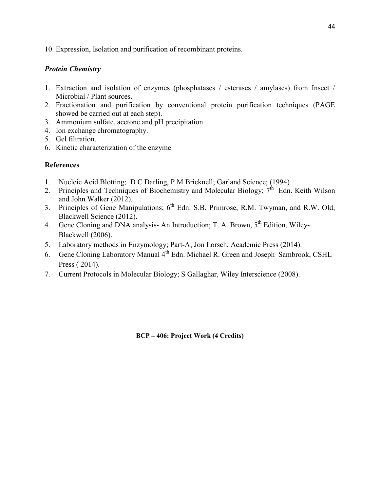10. Expression, Isolation and purification of recombinant proteins.

## *Protein Chemistry*

- 1. Extraction and isolation of enzymes (phosphatases / esterases / amylases) from Insect / Microbial / Plant sources.
- 2. Fractionation and purification by conventional protein purification techniques (PAGE showed be carried out at each step).
- 3. Ammonium sulfate, acetone and pH precipitation
- 4. Ion exchange chromatography.
- 5. Gel filtration.
- 6. Kinetic characterization of the enzyme

## **References**

- 1. Nucleic Acid Blotting; D C Darling, P M Bricknell; Garland Science; (1994)
- 2. Principles and Techniques of Biochemistry and Molecular Biology;  $7<sup>th</sup>$  Edn. Keith Wilson and John Walker (2012).
- 3. Principles of Gene Manipulations; 6<sup>th</sup> Edn. S.B. Primrose, R.M. Twyman, and R.W. Old, Blackwell Science (2012).
- 4. Gene Cloning and DNA analysis- An Introduction; T. A. Brown, 5<sup>th</sup> Edition, Wiley-Blackwell (2006).
- 5. Laboratory methods in Enzymology; Part-A; Jon Lorsch, Academic Press (2014).
- 6. Gene Cloning Laboratory Manual 4th Edn. Michael R. Green and Joseph Sambrook, CSHL Press ( 2014).
- 7. Current Protocols in Molecular Biology; S Gallaghar, Wiley Interscience (2008).

**BCP – 406: Project Work (4 Credits)**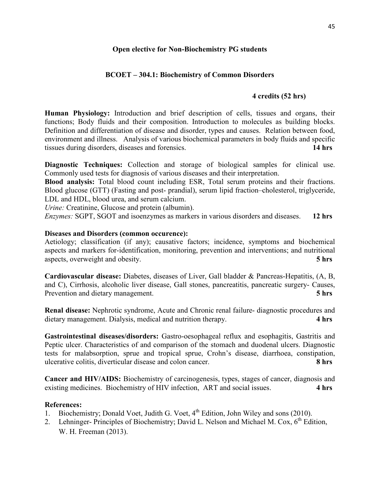## **Open elective for Non-Biochemistry PG students**

## **BCOET – 304.1: Biochemistry of Common Disorders**

## **4 credits (52 hrs)**

**Human Physiology:** Introduction and brief description of cells, tissues and organs, their functions; Body fluids and their composition. Introduction to molecules as building blocks. Definition and differentiation of disease and disorder, types and causes. Relation between food, environment and illness. Analysis of various biochemical parameters in body fluids and specific tissues during disorders, diseases and forensics. **14 hrs**

**Diagnostic Techniques:** Collection and storage of biological samples for clinical use. Commonly used tests for diagnosis of various diseases and their interpretation.

**Blood analysis:** Total blood count including ESR, Total serum proteins and their fractions. Blood glucose (GTT) (Fasting and post- prandial), serum lipid fraction–cholesterol, triglyceride, LDL and HDL, blood urea, and serum calcium.

*Urine:* Creatinine, Glucose and protein (albumin).

*Enzymes:* SGPT, SGOT and isoenzymes as markers in various disorders and diseases. **12 hrs**

#### **Diseases and Disorders (common occurence):**

Aetiology; classification (if any); causative factors; incidence, symptoms and biochemical aspects and markers for-identification, monitoring, prevention and interventions; and nutritional aspects, overweight and obesity. **5 hrs**

**Cardiovascular disease:** Diabetes, diseases of Liver, Gall bladder & Pancreas-Hepatitis, (A, B, and C), Cirrhosis, alcoholic liver disease, Gall stones, pancreatitis, pancreatic surgery- Causes, Prevention and dietary management. **5 hrs**

**Renal disease:** Nephrotic syndrome, Acute and Chronic renal failure- diagnostic procedures and dietary management. Dialysis, medical and nutrition therapy. **4 hrs**

**Gastrointestinal diseases/disorders:** Gastro-oesophageal reflux and esophagitis, Gastritis and Peptic ulcer. Characteristics of and comparison of the stomach and duodenal ulcers. Diagnostic tests for malabsorption, sprue and tropical sprue, Crohn's disease, diarrhoea, constipation, ulcerative colitis, diverticular disease and colon cancer. **8 hrs**

**Cancer and HIV/AIDS:** Biochemistry of carcinogenesis, types, stages of cancer, diagnosis and existing medicines. Biochemistry of HIV infection, ART and social issues. **4 hrs**

- 1. Biochemistry; Donald Voet, Judith G. Voet,  $4^{th}$  Edition, John Wiley and sons (2010).
- 2. Lehninger- Principles of Biochemistry; David L. Nelson and Michael M. Cox,  $6<sup>th</sup>$  Edition, W. H. Freeman (2013).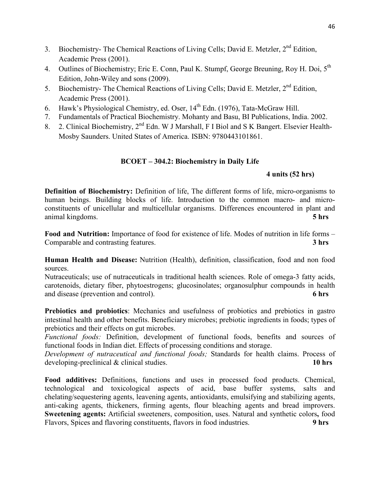- 3. Biochemistry- The Chemical Reactions of Living Cells; David E. Metzler, 2<sup>nd</sup> Edition, Academic Press (2001).
- 4. Outlines of Biochemistry; Eric E. Conn, Paul K. Stumpf, George Breuning, Roy H. Doi, 5<sup>th</sup> Edition, John-Wiley and sons (2009).
- 5. Biochemistry- The Chemical Reactions of Living Cells; David E. Metzler, 2<sup>nd</sup> Edition, Academic Press (2001).
- 6. Hawk's Physiological Chemistry, ed. Oser,  $14<sup>th</sup>$  Edn. (1976), Tata-McGraw Hill.
- 7. Fundamentals of Practical Biochemistry. Mohanty and Basu, BI Publications, India. 2002.
- 8. 2. Clinical Biochemistry, 2<sup>nd</sup> Edn. W J Marshall, F I Biol and S K Bangert. Elsevier Health-Mosby Saunders. United States of America. ISBN: 9780443101861.

## **BCOET – 304.2: Biochemistry in Daily Life**

## **4 units (52 hrs)**

**Definition of Biochemistry:** Definition of life, The different forms of life, micro-organisms to human beings. Building blocks of life. Introduction to the common macro- and microconstituents of unicellular and multicellular organisms. Differences encountered in plant and animal kingdoms. **5 hrs**

**Food and Nutrition:** Importance of food for existence of life. Modes of nutrition in life forms – Comparable and contrasting features. **3 hrs**

**Human Health and Disease:** Nutrition (Health), definition, classification, food and non food sources.

Nutraceuticals; use of nutraceuticals in traditional health sciences. Role of omega-3 fatty acids, carotenoids, dietary fiber, phytoestrogens; glucosinolates; organosulphur compounds in health and disease (prevention and control). **6 hrs** 

**Prebiotics and probiotics**: Mechanics and usefulness of probiotics and prebiotics in gastro intestinal health and other benefits. Beneficiary microbes; prebiotic ingredients in foods; types of prebiotics and their effects on gut microbes.

*Functional foods:* Definition, development of functional foods, benefits and sources of functional foods in Indian diet. Effects of processing conditions and storage.

*Development of nutraceutical and functional foods;* Standards for health claims. Process of developing-preclinical & clinical studies. **10 hrs**

**Food additives:** Definitions, functions and uses in processed food products. Chemical, technological and toxicological aspects of acid, base buffer systems, salts and chelating/sequestering agents, leavening agents, antioxidants, emulsifying and stabilizing agents, anti-caking agents, thickeners, firming agents, flour bleaching agents and bread improvers. **Sweetening agents:** Artificial sweeteners, composition, uses. Natural and synthetic colors**,** food Flavors, Spices and flavoring constituents, flavors in food industries. **9 hrs**